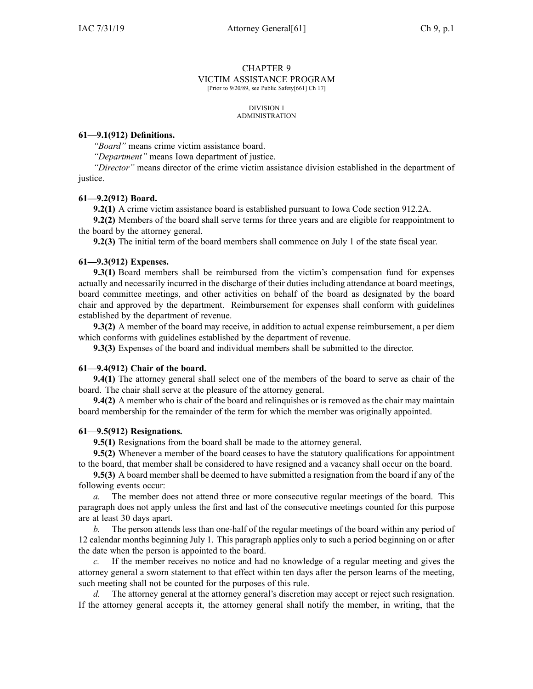# CHAPTER 9 VICTIM ASSISTANCE PROGRAM

[Prior to 9/20/89, see Public Safety[661] Ch 17]

#### DIVISION I ADMINISTRATION

## **61—9.1(912) Definitions.**

*"Board"* means crime victim assistance board.

*"Department"* means Iowa department of justice.

*"Director"* means director of the crime victim assistance division established in the department of justice.

### **61—9.2(912) Board.**

**9.2(1)** A crime victim assistance board is established pursuan<sup>t</sup> to Iowa Code section [912.2A](https://www.legis.iowa.gov/docs/ico/section/912.2A.pdf).

**9.2(2)** Members of the board shall serve terms for three years and are eligible for reappointment to the board by the attorney general.

**9.2(3)** The initial term of the board members shall commence on July 1 of the state fiscal year.

### **61—9.3(912) Expenses.**

**9.3(1)** Board members shall be reimbursed from the victim's compensation fund for expenses actually and necessarily incurred in the discharge of their duties including attendance at board meetings, board committee meetings, and other activities on behalf of the board as designated by the board chair and approved by the department. Reimbursement for expenses shall conform with guidelines established by the department of revenue.

**9.3(2)** A member of the board may receive, in addition to actual expense reimbursement, <sup>a</sup> per diem which conforms with guidelines established by the department of revenue.

**9.3(3)** Expenses of the board and individual members shall be submitted to the director.

### **61—9.4(912) Chair of the board.**

**9.4(1)** The attorney general shall select one of the members of the board to serve as chair of the board. The chair shall serve at the pleasure of the attorney general.

**9.4(2)** A member who is chair of the board and relinquishes or is removed as the chair may maintain board membership for the remainder of the term for which the member was originally appointed.

## **61—9.5(912) Resignations.**

**9.5(1)** Resignations from the board shall be made to the attorney general.

**9.5(2)** Whenever <sup>a</sup> member of the board ceases to have the statutory qualifications for appointment to the board, that member shall be considered to have resigned and <sup>a</sup> vacancy shall occur on the board.

**9.5(3)** A board member shall be deemed to have submitted <sup>a</sup> resignation from the board if any of the following events occur:

*a.* The member does not attend three or more consecutive regular meetings of the board. This paragraph does not apply unless the first and last of the consecutive meetings counted for this purpose are at least 30 days apart.

*b.* The person attends less than one-half of the regular meetings of the board within any period of 12 calendar months beginning July 1. This paragraph applies only to such <sup>a</sup> period beginning on or after the date when the person is appointed to the board.

*c.* If the member receives no notice and had no knowledge of <sup>a</sup> regular meeting and gives the attorney general <sup>a</sup> sworn statement to that effect within ten days after the person learns of the meeting, such meeting shall not be counted for the purposes of this rule.

The attorney general at the attorney general's discretion may accept or reject such resignation. If the attorney general accepts it, the attorney general shall notify the member, in writing, that the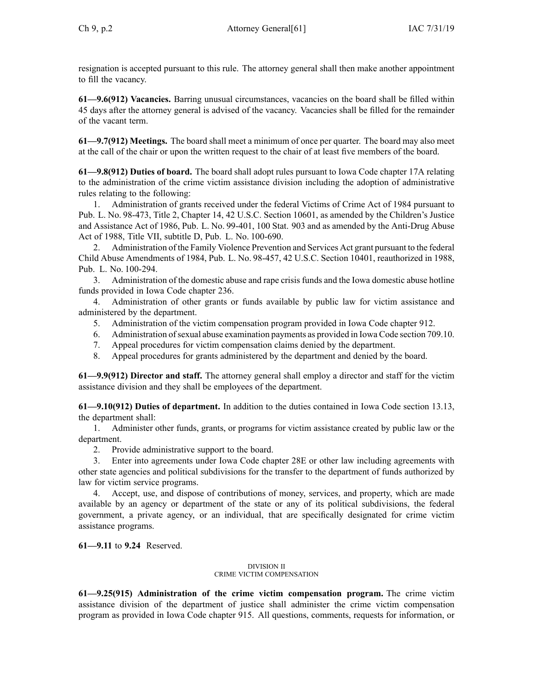resignation is accepted pursuan<sup>t</sup> to this rule. The attorney general shall then make another appointment to fill the vacancy.

**61—9.6(912) Vacancies.** Barring unusual circumstances, vacancies on the board shall be filled within 45 days after the attorney general is advised of the vacancy. Vacancies shall be filled for the remainder of the vacant term.

**61—9.7(912) Meetings.** The board shall meet <sup>a</sup> minimum of once per quarter. The board may also meet at the call of the chair or upon the written reques<sup>t</sup> to the chair of at least five members of the board.

**61—9.8(912) Duties of board.** The board shall adopt rules pursuan<sup>t</sup> to Iowa Code chapter [17A](https://www.legis.iowa.gov/docs/ico/chapter/17A.pdf) relating to the administration of the crime victim assistance division including the adoption of administrative rules relating to the following:

1. Administration of grants received under the federal Victims of Crime Act of 1984 pursuan<sup>t</sup> to Pub. L. No. 98-473, Title 2, Chapter 14, 42 U.S.C. Section 10601, as amended by the Children's Justice and Assistance Act of 1986, Pub. L. No. 99-401, 100 Stat. 903 and as amended by the Anti-Drug Abuse Act of 1988, Title VII, subtitle D, Pub. L. No. 100-690.

2. Administration of the Family Violence Prevention and Services Act gran<sup>t</sup> pursuan<sup>t</sup> to the federal Child Abuse Amendments of 1984, Pub. L. No. 98-457, 42 U.S.C. Section 10401, reauthorized in 1988, Pub. L. No. 100-294.

3. Administration of the domestic abuse and rape crisis funds and the Iowa domestic abuse hotline funds provided in Iowa Code chapter [236](https://www.legis.iowa.gov/docs/ico/chapter/236.pdf).

4. Administration of other grants or funds available by public law for victim assistance and administered by the department.

- 5. Administration of the victim compensation program provided in Iowa Code chapter [912](https://www.legis.iowa.gov/docs/ico/chapter/912.pdf).
- 6. Administration ofsexual abuse examination payments as provided in Iowa Code section [709.10](https://www.legis.iowa.gov/docs/ico/section/709.10.pdf).
- 7. Appeal procedures for victim compensation claims denied by the department.
- 8. Appeal procedures for grants administered by the department and denied by the board.

**61—9.9(912) Director and staff.** The attorney general shall employ <sup>a</sup> director and staff for the victim assistance division and they shall be employees of the department.

**61—9.10(912) Duties of department.** In addition to the duties contained in Iowa Code section [13.13](https://www.legis.iowa.gov/docs/ico/section/13.13.pdf), the department shall:

1. Administer other funds, grants, or programs for victim assistance created by public law or the department.

2. Provide administrative suppor<sup>t</sup> to the board.

3. Enter into agreements under Iowa Code chapter [28E](https://www.legis.iowa.gov/docs/ico/chapter/28E.pdf) or other law including agreements with other state agencies and political subdivisions for the transfer to the department of funds authorized by law for victim service programs.

4. Accept, use, and dispose of contributions of money, services, and property, which are made available by an agency or department of the state or any of its political subdivisions, the federal government, <sup>a</sup> private agency, or an individual, that are specifically designated for crime victim assistance programs.

**61—9.11** to **9.24** Reserved.

### DIVISION II CRIME VICTIM COMPENSATION

**61—9.25(915) Administration of the crime victim compensation program.** The crime victim assistance division of the department of justice shall administer the crime victim compensation program as provided in Iowa Code chapter [915](https://www.legis.iowa.gov/docs/ico/chapter/915.pdf). All questions, comments, requests for information, or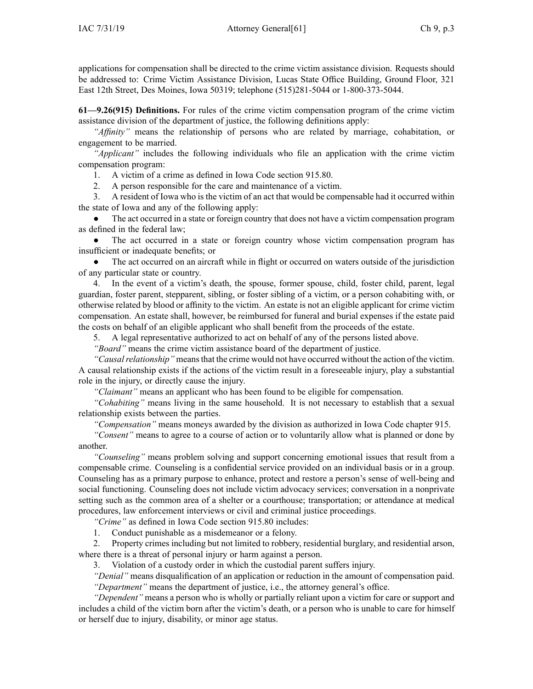**61—9.26(915) Definitions.** For rules of the crime victim compensation program of the crime victim assistance division of the department of justice, the following definitions apply:

*"Affinity"* means the relationship of persons who are related by marriage, cohabitation, or engagemen<sup>t</sup> to be married.

*"Applicant"* includes the following individuals who file an application with the crime victim compensation program:

1. A victim of <sup>a</sup> crime as defined in Iowa Code section [915.80](https://www.legis.iowa.gov/docs/ico/section/915.80.pdf).

2. A person responsible for the care and maintenance of <sup>a</sup> victim.

3. A resident of Iowa who is the victim of an act that would be compensable had it occurred within the state of Iowa and any of the following apply:

● The act occurred in <sup>a</sup> state or foreign country that does not have <sup>a</sup> victim compensation program as defined in the federal law;

 $\bullet$  The act occurred in <sup>a</sup> state or foreign country whose victim compensation program has insufficient or inadequate benefits; or

● The act occurred on an aircraft while in flight or occurred on waters outside of the jurisdiction of any particular state or country.

4. In the event of <sup>a</sup> victim's death, the spouse, former spouse, child, foster child, parent, legal guardian, foster parent, stepparent, sibling, or foster sibling of <sup>a</sup> victim, or <sup>a</sup> person cohabiting with, or otherwise related by blood or affinity to the victim. An estate is not an eligible applicant for crime victim compensation. An estate shall, however, be reimbursed for funeral and burial expenses if the estate paid the costs on behalf of an eligible applicant who shall benefit from the proceeds of the estate.

5. A legal representative authorized to act on behalf of any of the persons listed above.

*"Board"* means the crime victim assistance board of the department of justice.

*"Causalrelationship"* meansthat the crime would not have occurred without the action of the victim. A causal relationship exists if the actions of the victim result in <sup>a</sup> foreseeable injury, play <sup>a</sup> substantial role in the injury, or directly cause the injury.

*"Claimant"* means an applicant who has been found to be eligible for compensation.

*"Cohabiting"* means living in the same household. It is not necessary to establish that <sup>a</sup> sexual relationship exists between the parties.

*"Compensation"* means moneys awarded by the division as authorized in Iowa Code chapter [915](https://www.legis.iowa.gov/docs/ico/chapter/915.pdf).

*"Consent"* means to agree to <sup>a</sup> course of action or to voluntarily allow what is planned or done by another.

*"Counseling"* means problem solving and suppor<sup>t</sup> concerning emotional issues that result from <sup>a</sup> compensable crime. Counseling is <sup>a</sup> confidential service provided on an individual basis or in <sup>a</sup> group. Counseling has as <sup>a</sup> primary purpose to enhance, protect and restore <sup>a</sup> person's sense of well-being and social functioning. Counseling does not include victim advocacy services; conversation in <sup>a</sup> nonprivate setting such as the common area of <sup>a</sup> shelter or <sup>a</sup> courthouse; transportation; or attendance at medical procedures, law enforcement interviews or civil and criminal justice proceedings.

*"Crime"* as defined in Iowa Code section [915.80](https://www.legis.iowa.gov/docs/ico/section/915.80.pdf) includes:

1. Conduct punishable as <sup>a</sup> misdemeanor or <sup>a</sup> felony.

2. Property crimes including but not limited to robbery, residential burglary, and residential arson, where there is <sup>a</sup> threat of personal injury or harm against <sup>a</sup> person.

3. Violation of <sup>a</sup> custody order in which the custodial paren<sup>t</sup> suffers injury.

*"Denial"* means disqualification of an application or reduction in the amount of compensation paid. *"Department"* means the department of justice, i.e., the attorney general's office.

*"Dependent"* means <sup>a</sup> person who is wholly or partially reliant upon <sup>a</sup> victim for care or suppor<sup>t</sup> and includes <sup>a</sup> child of the victim born after the victim's death, or <sup>a</sup> person who is unable to care for himself or herself due to injury, disability, or minor age status.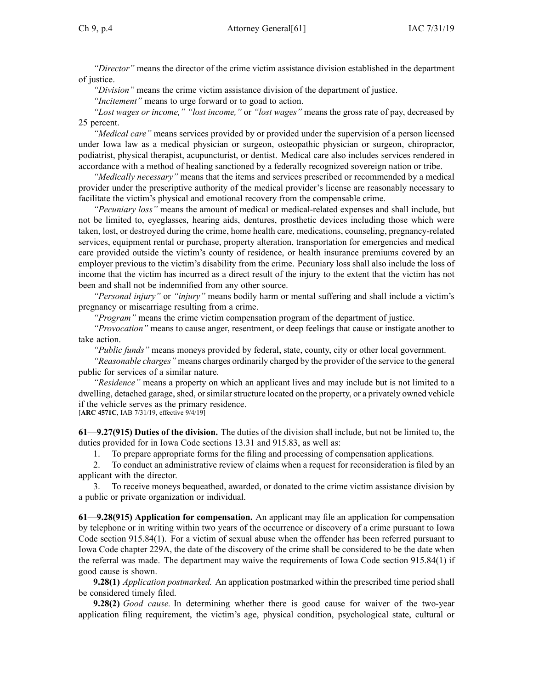*"Director"* means the director of the crime victim assistance division established in the department of justice.

*"Division"* means the crime victim assistance division of the department of justice.

*"Incitement"* means to urge forward or to goad to action.

*"Lost wages or income," "lost income,"* or *"lost wages"* means the gross rate of pay, decreased by 25 percent.

*"Medical care"* means services provided by or provided under the supervision of <sup>a</sup> person licensed under Iowa law as <sup>a</sup> medical physician or surgeon, osteopathic physician or surgeon, chiropractor, podiatrist, physical therapist, acupuncturist, or dentist. Medical care also includes services rendered in accordance with <sup>a</sup> method of healing sanctioned by <sup>a</sup> federally recognized sovereign nation or tribe.

*"Medically necessary"* means that the items and services prescribed or recommended by <sup>a</sup> medical provider under the prescriptive authority of the medical provider's license are reasonably necessary to facilitate the victim's physical and emotional recovery from the compensable crime.

*"Pecuniary loss"* means the amount of medical or medical-related expenses and shall include, but not be limited to, eyeglasses, hearing aids, dentures, prosthetic devices including those which were taken, lost, or destroyed during the crime, home health care, medications, counseling, pregnancy-related services, equipment rental or purchase, property alteration, transportation for emergencies and medical care provided outside the victim's county of residence, or health insurance premiums covered by an employer previous to the victim's disability from the crime. Pecuniary loss shall also include the loss of income that the victim has incurred as <sup>a</sup> direct result of the injury to the extent that the victim has not been and shall not be indemnified from any other source.

*"Personal injury"* or *"injury"* means bodily harm or mental suffering and shall include <sup>a</sup> victim's pregnancy or miscarriage resulting from <sup>a</sup> crime.

*"Program"* means the crime victim compensation program of the department of justice.

*"Provocation"* means to cause anger, resentment, or deep feelings that cause or instigate another to take action.

*"Public funds"* means moneys provided by federal, state, county, city or other local government.

*"Reasonable charges"* means charges ordinarily charged by the provider of the service to the general public for services of <sup>a</sup> similar nature.

*"Residence"* means <sup>a</sup> property on which an applicant lives and may include but is not limited to <sup>a</sup> dwelling, detached garage, shed, or similar structure located on the property, or a privately owned vehicle if the vehicle serves as the primary residence.

[**ARC [4571C](https://www.legis.iowa.gov/docs/aco/arc/4571C.pdf)**, IAB 7/31/19, effective 9/4/19]

**61—9.27(915) Duties of the division.** The duties of the division shall include, but not be limited to, the duties provided for in Iowa Code sections [13.31](https://www.legis.iowa.gov/docs/ico/section/13.31.pdf) and [915.83](https://www.legis.iowa.gov/docs/ico/section/915.83.pdf), as well as:

1. To prepare appropriate forms for the filing and processing of compensation applications.

2. To conduct an administrative review of claims when <sup>a</sup> reques<sup>t</sup> for reconsideration is filed by an applicant with the director.

3. To receive moneys bequeathed, awarded, or donated to the crime victim assistance division by <sup>a</sup> public or private organization or individual.

**61—9.28(915) Application for compensation.** An applicant may file an application for compensation by telephone or in writing within two years of the occurrence or discovery of <sup>a</sup> crime pursuan<sup>t</sup> to Iowa Code section [915.84\(1\)](https://www.legis.iowa.gov/docs/ico/section/915.84.pdf). For <sup>a</sup> victim of sexual abuse when the offender has been referred pursuan<sup>t</sup> to Iowa Code chapter [229A](https://www.legis.iowa.gov/docs/ico/chapter/229A.pdf), the date of the discovery of the crime shall be considered to be the date when the referral was made. The department may waive the requirements of Iowa Code section [915.84\(1\)](https://www.legis.iowa.gov/docs/ico/section/915.84.pdf) if good cause is shown.

**9.28(1)** *Application postmarked.* An application postmarked within the prescribed time period shall be considered timely filed.

**9.28(2)** *Good cause.* In determining whether there is good cause for waiver of the two-year application filing requirement, the victim's age, physical condition, psychological state, cultural or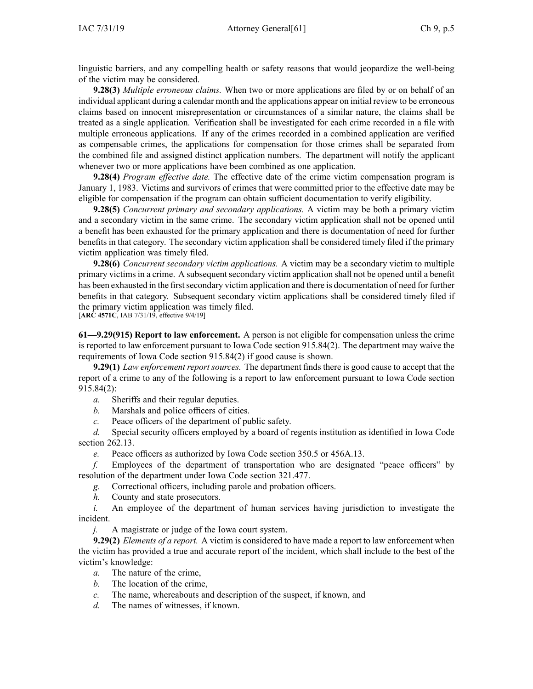linguistic barriers, and any compelling health or safety reasons that would jeopardize the well-being of the victim may be considered.

**9.28(3)** *Multiple erroneous claims.* When two or more applications are filed by or on behalf of an individual applicant during <sup>a</sup> calendar month and the applications appear on initial review to be erroneous claims based on innocent misrepresentation or circumstances of <sup>a</sup> similar nature, the claims shall be treated as <sup>a</sup> single application. Verification shall be investigated for each crime recorded in <sup>a</sup> file with multiple erroneous applications. If any of the crimes recorded in <sup>a</sup> combined application are verified as compensable crimes, the applications for compensation for those crimes shall be separated from the combined file and assigned distinct application numbers. The department will notify the applicant whenever two or more applications have been combined as one application.

**9.28(4)** *Program effective date.* The effective date of the crime victim compensation program is January 1, 1983. Victims and survivors of crimes that were committed prior to the effective date may be eligible for compensation if the program can obtain sufficient documentation to verify eligibility.

**9.28(5)** *Concurrent primary and secondary applications.* A victim may be both <sup>a</sup> primary victim and <sup>a</sup> secondary victim in the same crime. The secondary victim application shall not be opened until <sup>a</sup> benefit has been exhausted for the primary application and there is documentation of need for further benefits in that category. The secondary victim application shall be considered timely filed if the primary victim application was timely filed.

**9.28(6)** *Concurrent secondary victim applications.* A victim may be <sup>a</sup> secondary victim to multiple primary victims in a crime. A subsequent secondary victim application shall not be opened until a benefit has been exhausted in the first secondary victim application and there is documentation of need for further benefits in that category. Subsequent secondary victim applications shall be considered timely filed if the primary victim application was timely filed.

[**ARC [4571C](https://www.legis.iowa.gov/docs/aco/arc/4571C.pdf)**, IAB 7/31/19, effective 9/4/19]

**61—9.29(915) Report to law enforcement.** A person is not eligible for compensation unless the crime is reported to law enforcement pursuan<sup>t</sup> to Iowa Code section [915.84\(2\)](https://www.legis.iowa.gov/docs/ico/section/915.84.pdf). The department may waive the requirements of Iowa Code section [915.84\(2\)](https://www.legis.iowa.gov/docs/ico/section/915.84.pdf) if good cause is shown.

**9.29(1)** *Law enforcement repor<sup>t</sup> sources.* The department finds there is good cause to accep<sup>t</sup> that the repor<sup>t</sup> of <sup>a</sup> crime to any of the following is <sup>a</sup> repor<sup>t</sup> to law enforcement pursuan<sup>t</sup> to Iowa Code section [915.84\(2\)](https://www.legis.iowa.gov/docs/ico/section/915.84.pdf):

*a.* Sheriffs and their regular deputies.

*b.* Marshals and police officers of cities.

*c.* Peace officers of the department of public safety.

*d.* Special security officers employed by <sup>a</sup> board of regents institution as identified in Iowa Code section [262.13](https://www.legis.iowa.gov/docs/ico/section/262.13.pdf).

*e.* Peace officers as authorized by Iowa Code section [350.5](https://www.legis.iowa.gov/docs/ico/section/350.5.pdf) or [456A.13](https://www.legis.iowa.gov/docs/ico/section/456A.13.pdf).

*f.* Employees of the department of transportation who are designated "peace officers" by resolution of the department under Iowa Code section [321.477](https://www.legis.iowa.gov/docs/ico/section/321.477.pdf).

*g.* Correctional officers, including parole and probation officers.

*h.* County and state prosecutors.

*i.* An employee of the department of human services having jurisdiction to investigate the incident.

*j.* A magistrate or judge of the Iowa court system.

**9.29(2)** *Elements of <sup>a</sup> report.* A victim is considered to have made <sup>a</sup> repor<sup>t</sup> to law enforcement when the victim has provided <sup>a</sup> true and accurate repor<sup>t</sup> of the incident, which shall include to the best of the victim's knowledge:

- *a.* The nature of the crime,
- *b.* The location of the crime,
- *c.* The name, whereabouts and description of the suspect, if known, and
- *d.* The names of witnesses, if known.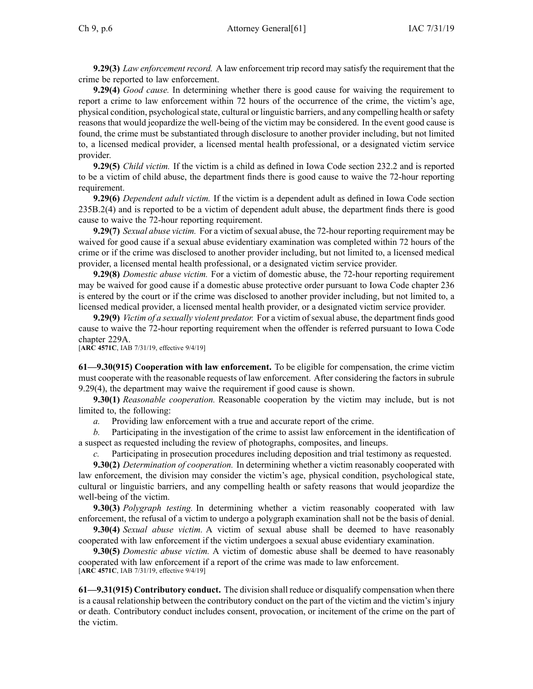**9.29(3)** *Law enforcement record.* A law enforcement trip record may satisfy the requirement that the crime be reported to law enforcement.

**9.29(4)** *Good cause.* In determining whether there is good cause for waiving the requirement to repor<sup>t</sup> <sup>a</sup> crime to law enforcement within 72 hours of the occurrence of the crime, the victim's age, physical condition, psychologicalstate, cultural or linguistic barriers, and any compelling health orsafety reasons that would jeopardize the well-being of the victim may be considered. In the event good cause is found, the crime must be substantiated through disclosure to another provider including, but not limited to, <sup>a</sup> licensed medical provider, <sup>a</sup> licensed mental health professional, or <sup>a</sup> designated victim service provider.

**9.29(5)** *Child victim.* If the victim is <sup>a</sup> child as defined in Iowa Code section [232.2](https://www.legis.iowa.gov/docs/ico/section/232.2.pdf) and is reported to be <sup>a</sup> victim of child abuse, the department finds there is good cause to waive the 72-hour reporting requirement.

**9.29(6)** *Dependent adult victim.* If the victim is <sup>a</sup> dependent adult as defined in Iowa Code section [235B.2\(4\)](https://www.legis.iowa.gov/docs/ico/section/235B.2.pdf) and is reported to be <sup>a</sup> victim of dependent adult abuse, the department finds there is good cause to waive the 72-hour reporting requirement.

**9.29(7)** *Sexual abuse victim.* For <sup>a</sup> victim of sexual abuse, the 72-hour reporting requirement may be waived for good cause if <sup>a</sup> sexual abuse evidentiary examination was completed within 72 hours of the crime or if the crime was disclosed to another provider including, but not limited to, <sup>a</sup> licensed medical provider, <sup>a</sup> licensed mental health professional, or <sup>a</sup> designated victim service provider.

**9.29(8)** *Domestic abuse victim.* For <sup>a</sup> victim of domestic abuse, the 72-hour reporting requirement may be waived for good cause if <sup>a</sup> domestic abuse protective order pursuan<sup>t</sup> to Iowa Code chapter [236](https://www.legis.iowa.gov/docs/ico/chapter/236.pdf) is entered by the court or if the crime was disclosed to another provider including, but not limited to, <sup>a</sup> licensed medical provider, <sup>a</sup> licensed mental health provider, or <sup>a</sup> designated victim service provider.

**9.29(9)** *Victim of a sexually violent predator.* For a victim of sexual abuse, the department finds good cause to waive the 72-hour reporting requirement when the offender is referred pursuan<sup>t</sup> to Iowa Code chapter [229A](https://www.legis.iowa.gov/docs/ico/chapter/229A.pdf).

[**ARC [4571C](https://www.legis.iowa.gov/docs/aco/arc/4571C.pdf)**, IAB 7/31/19, effective 9/4/19]

**61—9.30(915) Cooperation with law enforcement.** To be eligible for compensation, the crime victim must cooperate with the reasonable requests of law enforcement. After considering the factors in [subrule](https://www.legis.iowa.gov/docs/iac/rule/61.9.29.pdf) [9.29\(4\)](https://www.legis.iowa.gov/docs/iac/rule/61.9.29.pdf), the department may waive the requirement if good cause is shown.

**9.30(1)** *Reasonable cooperation.* Reasonable cooperation by the victim may include, but is not limited to, the following:

*a.* Providing law enforcement with <sup>a</sup> true and accurate repor<sup>t</sup> of the crime.

*b.* Participating in the investigation of the crime to assist law enforcement in the identification of <sup>a</sup> suspec<sup>t</sup> as requested including the review of photographs, composites, and lineups.

*c.* Participating in prosecution procedures including deposition and trial testimony as requested.

**9.30(2)** *Determination of cooperation.* In determining whether <sup>a</sup> victim reasonably cooperated with law enforcement, the division may consider the victim's age, physical condition, psychological state, cultural or linguistic barriers, and any compelling health or safety reasons that would jeopardize the well-being of the victim.

**9.30(3)** *Polygraph testing.* In determining whether <sup>a</sup> victim reasonably cooperated with law enforcement, the refusal of <sup>a</sup> victim to undergo <sup>a</sup> polygraph examination shall not be the basis of denial.

**9.30(4)** *Sexual abuse victim.* A victim of sexual abuse shall be deemed to have reasonably cooperated with law enforcement if the victim undergoes <sup>a</sup> sexual abuse evidentiary examination.

**9.30(5)** *Domestic abuse victim.* A victim of domestic abuse shall be deemed to have reasonably cooperated with law enforcement if <sup>a</sup> repor<sup>t</sup> of the crime was made to law enforcement. [**ARC [4571C](https://www.legis.iowa.gov/docs/aco/arc/4571C.pdf)**, IAB 7/31/19, effective 9/4/19]

**61—9.31(915) Contributory conduct.** The division shall reduce or disqualify compensation when there is <sup>a</sup> causal relationship between the contributory conduct on the par<sup>t</sup> of the victim and the victim's injury or death. Contributory conduct includes consent, provocation, or incitement of the crime on the par<sup>t</sup> of the victim.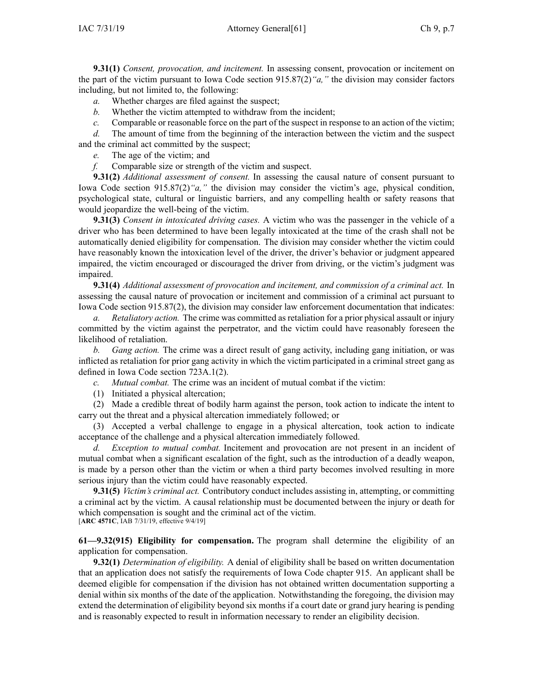**9.31(1)** *Consent, provocation, and incitement.* In assessing consent, provocation or incitement on the par<sup>t</sup> of the victim pursuan<sup>t</sup> to Iowa Code section [915.87\(2\)](https://www.legis.iowa.gov/docs/ico/section/915.87.pdf)*"a,"* the division may consider factors including, but not limited to, the following:

- *a.* Whether charges are filed against the suspect;
- *b.* Whether the victim attempted to withdraw from the incident;
- *c.* Comparable or reasonable force on the part of the suspect in response to an action of the victim;

*d.* The amount of time from the beginning of the interaction between the victim and the suspec<sup>t</sup> and the criminal act committed by the suspect;

*e.* The age of the victim; and

*f.* Comparable size or strength of the victim and suspect.

**9.31(2)** *Additional assessment of consent.* In assessing the causal nature of consent pursuan<sup>t</sup> to Iowa Code section [915.87\(2\)](https://www.legis.iowa.gov/docs/ico/section/915.87.pdf)*"a,"* the division may consider the victim's age, physical condition, psychological state, cultural or linguistic barriers, and any compelling health or safety reasons that would jeopardize the well-being of the victim.

**9.31(3)** *Consent in intoxicated driving cases.* A victim who was the passenger in the vehicle of <sup>a</sup> driver who has been determined to have been legally intoxicated at the time of the crash shall not be automatically denied eligibility for compensation. The division may consider whether the victim could have reasonably known the intoxication level of the driver, the driver's behavior or judgment appeared impaired, the victim encouraged or discouraged the driver from driving, or the victim's judgment was impaired.

**9.31(4)** *Additional assessment of provocation and incitement, and commission of <sup>a</sup> criminal act.* In assessing the causal nature of provocation or incitement and commission of <sup>a</sup> criminal act pursuan<sup>t</sup> to Iowa Code section [915.87\(2\)](https://www.legis.iowa.gov/docs/ico/section/915.87.pdf), the division may consider law enforcement documentation that indicates:

*a. Retaliatory action.* The crime was committed as retaliation for <sup>a</sup> prior physical assault or injury committed by the victim against the perpetrator, and the victim could have reasonably foreseen the likelihood of retaliation.

*b. Gang action.* The crime was <sup>a</sup> direct result of gang activity, including gang initiation, or was inflicted as retaliation for prior gang activity in which the victim participated in <sup>a</sup> criminal street gang as defined in Iowa Code section [723A.1\(2\)](https://www.legis.iowa.gov/docs/ico/section/723A.1.pdf).

*c. Mutual combat.* The crime was an incident of mutual combat if the victim:

(1) Initiated <sup>a</sup> physical altercation;

(2) Made <sup>a</sup> credible threat of bodily harm against the person, took action to indicate the intent to carry out the threat and <sup>a</sup> physical altercation immediately followed; or

(3) Accepted <sup>a</sup> verbal challenge to engage in <sup>a</sup> physical altercation, took action to indicate acceptance of the challenge and <sup>a</sup> physical altercation immediately followed.

*d. Exception to mutual combat.* Incitement and provocation are not presen<sup>t</sup> in an incident of mutual combat when <sup>a</sup> significant escalation of the fight, such as the introduction of <sup>a</sup> deadly weapon, is made by <sup>a</sup> person other than the victim or when <sup>a</sup> third party becomes involved resulting in more serious injury than the victim could have reasonably expected.

**9.31(5)** *Victim's criminal act.* Contributory conduct includes assisting in, attempting, or committing <sup>a</sup> criminal act by the victim. A causal relationship must be documented between the injury or death for which compensation is sought and the criminal act of the victim. [**ARC [4571C](https://www.legis.iowa.gov/docs/aco/arc/4571C.pdf)**, IAB 7/31/19, effective 9/4/19]

**61—9.32(915) Eligibility for compensation.** The program shall determine the eligibility of an application for compensation.

**9.32(1)** *Determination of eligibility.* A denial of eligibility shall be based on written documentation that an application does not satisfy the requirements of Iowa Code chapter [915](https://www.legis.iowa.gov/docs/ico/chapter/915.pdf). An applicant shall be deemed eligible for compensation if the division has not obtained written documentation supporting <sup>a</sup> denial within six months of the date of the application. Notwithstanding the foregoing, the division may extend the determination of eligibility beyond six months if <sup>a</sup> court date or grand jury hearing is pending and is reasonably expected to result in information necessary to render an eligibility decision.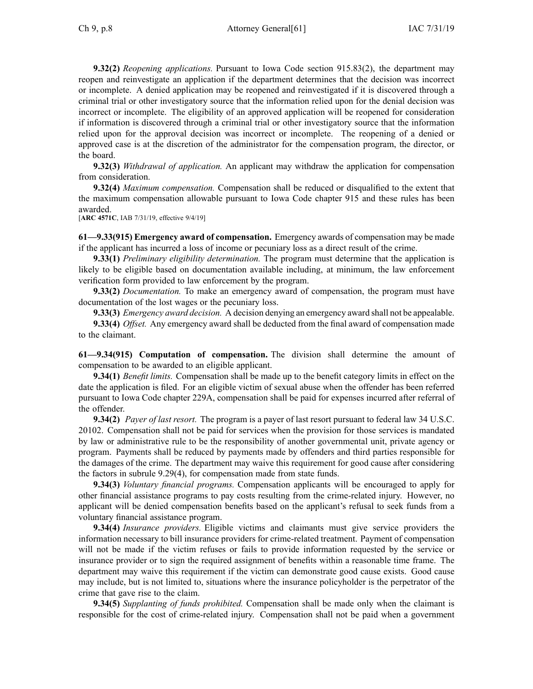**9.32(2)** *Reopening applications.* Pursuant to Iowa Code section [915.83\(2\)](https://www.legis.iowa.gov/docs/ico/section/915.83.pdf), the department may reopen and reinvestigate an application if the department determines that the decision was incorrect or incomplete. A denied application may be reopened and reinvestigated if it is discovered through <sup>a</sup> criminal trial or other investigatory source that the information relied upon for the denial decision was incorrect or incomplete. The eligibility of an approved application will be reopened for consideration if information is discovered through <sup>a</sup> criminal trial or other investigatory source that the information relied upon for the approval decision was incorrect or incomplete. The reopening of <sup>a</sup> denied or approved case is at the discretion of the administrator for the compensation program, the director, or the board.

**9.32(3)** *Withdrawal of application.* An applicant may withdraw the application for compensation from consideration.

**9.32(4)** *Maximum compensation.* Compensation shall be reduced or disqualified to the extent that the maximum compensation allowable pursuan<sup>t</sup> to Iowa Code chapter [915](https://www.legis.iowa.gov/docs/ico/chapter/915.pdf) and these rules has been awarded.

[**ARC [4571C](https://www.legis.iowa.gov/docs/aco/arc/4571C.pdf)**, IAB 7/31/19, effective 9/4/19]

**61—9.33(915) Emergency award of compensation.** Emergency awards of compensation may be made if the applicant has incurred <sup>a</sup> loss of income or pecuniary loss as <sup>a</sup> direct result of the crime.

**9.33(1)** *Preliminary eligibility determination.* The program must determine that the application is likely to be eligible based on documentation available including, at minimum, the law enforcement verification form provided to law enforcement by the program.

**9.33(2)** *Documentation.* To make an emergency award of compensation, the program must have documentation of the lost wages or the pecuniary loss.

**9.33(3)** *Emergency award decision.* A decision denying an emergency award shall not be appealable.

**9.33(4)** *Offset.* Any emergency award shall be deducted from the final award of compensation made to the claimant.

**61—9.34(915) Computation of compensation.** The division shall determine the amount of compensation to be awarded to an eligible applicant.

**9.34(1)** *Benefit limits.* Compensation shall be made up to the benefit category limits in effect on the date the application is filed. For an eligible victim of sexual abuse when the offender has been referred pursuan<sup>t</sup> to Iowa Code chapter [229A](https://www.legis.iowa.gov/docs/ico/chapter/229A.pdf), compensation shall be paid for expenses incurred after referral of the offender.

**9.34(2)** *Payer of last resort.* The program is <sup>a</sup> payer of last resort pursuan<sup>t</sup> to federal law 34 U.S.C. 20102. Compensation shall not be paid for services when the provision for those services is mandated by law or administrative rule to be the responsibility of another governmental unit, private agency or program. Payments shall be reduced by payments made by offenders and third parties responsible for the damages of the crime. The department may waive this requirement for good cause after considering the factors in subrule [9.29\(4\)](https://www.legis.iowa.gov/docs/iac/rule/61.9.29.pdf), for compensation made from state funds.

**9.34(3)** *Voluntary financial programs.* Compensation applicants will be encouraged to apply for other financial assistance programs to pay costs resulting from the crime-related injury. However, no applicant will be denied compensation benefits based on the applicant's refusal to seek funds from <sup>a</sup> voluntary financial assistance program.

**9.34(4)** *Insurance providers.* Eligible victims and claimants must give service providers the information necessary to bill insurance providers for crime-related treatment. Payment of compensation will not be made if the victim refuses or fails to provide information requested by the service or insurance provider or to sign the required assignment of benefits within <sup>a</sup> reasonable time frame. The department may waive this requirement if the victim can demonstrate good cause exists. Good cause may include, but is not limited to, situations where the insurance policyholder is the perpetrator of the crime that gave rise to the claim.

**9.34(5)** *Supplanting of funds prohibited.* Compensation shall be made only when the claimant is responsible for the cost of crime-related injury. Compensation shall not be paid when <sup>a</sup> governmen<sup>t</sup>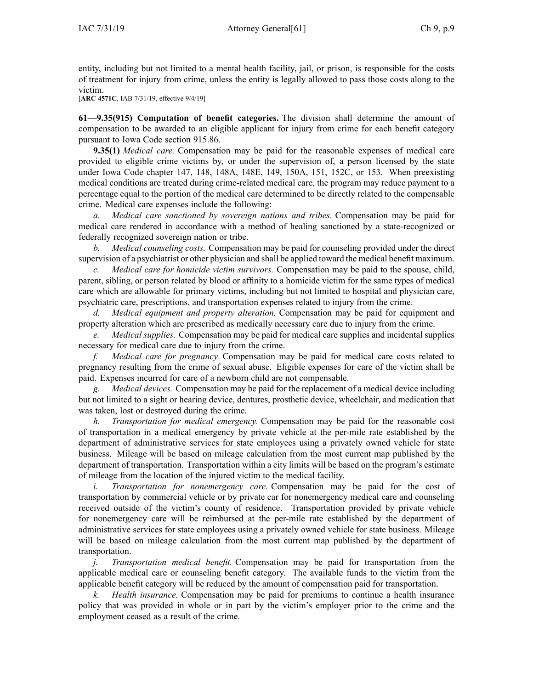entity, including but not limited to <sup>a</sup> mental health facility, jail, or prison, is responsible for the costs of treatment for injury from crime, unless the entity is legally allowed to pass those costs along to the victim.

[**ARC [4571C](https://www.legis.iowa.gov/docs/aco/arc/4571C.pdf)**, IAB 7/31/19, effective 9/4/19]

**61—9.35(915) Computation of benefit categories.** The division shall determine the amount of compensation to be awarded to an eligible applicant for injury from crime for each benefit category pursuan<sup>t</sup> to Iowa Code section [915.86](https://www.legis.iowa.gov/docs/ico/section/915.86.pdf).

**9.35(1)** *Medical care.* Compensation may be paid for the reasonable expenses of medical care provided to eligible crime victims by, or under the supervision of, <sup>a</sup> person licensed by the state under Iowa Code chapter [147](https://www.legis.iowa.gov/docs/ico/chapter/147.pdf), [148](https://www.legis.iowa.gov/docs/ico/chapter/148.pdf), [148A](https://www.legis.iowa.gov/docs/ico/chapter/148A.pdf), [148E](https://www.legis.iowa.gov/docs/ico/chapter/148E.pdf), [149](https://www.legis.iowa.gov/docs/ico/chapter/149.pdf), [150A](https://www.legis.iowa.gov/docs/ico/chapter/150A.pdf), [151](https://www.legis.iowa.gov/docs/ico/chapter/151.pdf), [152C](https://www.legis.iowa.gov/docs/ico/chapter/152C.pdf), or [153](https://www.legis.iowa.gov/docs/ico/chapter/153.pdf). When preexisting medical conditions are treated during crime-related medical care, the program may reduce paymen<sup>t</sup> to <sup>a</sup> percentage equal to the portion of the medical care determined to be directly related to the compensable crime. Medical care expenses include the following:

*a. Medical care sanctioned by sovereign nations and tribes.* Compensation may be paid for medical care rendered in accordance with <sup>a</sup> method of healing sanctioned by <sup>a</sup> state-recognized or federally recognized sovereign nation or tribe.

*b. Medical counseling costs.* Compensation may be paid for counseling provided under the direct supervision of <sup>a</sup> psychiatrist or other physician and shall be applied toward the medical benefit maximum.

*c. Medical care for homicide victim survivors.* Compensation may be paid to the spouse, child, parent, sibling, or person related by blood or affinity to <sup>a</sup> homicide victim for the same types of medical care which are allowable for primary victims, including but not limited to hospital and physician care, psychiatric care, prescriptions, and transportation expenses related to injury from the crime.

*d. Medical equipment and property alteration.* Compensation may be paid for equipment and property alteration which are prescribed as medically necessary care due to injury from the crime.

*e. Medical supplies.* Compensation may be paid for medical care supplies and incidental supplies necessary for medical care due to injury from the crime.

*f. Medical care for pregnancy.* Compensation may be paid for medical care costs related to pregnancy resulting from the crime of sexual abuse. Eligible expenses for care of the victim shall be paid. Expenses incurred for care of <sup>a</sup> newborn child are not compensable.

*g. Medical devices.* Compensation may be paid for the replacement of <sup>a</sup> medical device including but not limited to <sup>a</sup> sight or hearing device, dentures, prosthetic device, wheelchair, and medication that was taken, lost or destroyed during the crime.

*h. Transportation for medical emergency.* Compensation may be paid for the reasonable cost of transportation in <sup>a</sup> medical emergency by private vehicle at the per-mile rate established by the department of administrative services for state employees using <sup>a</sup> privately owned vehicle for state business. Mileage will be based on mileage calculation from the most current map published by the department of transportation. Transportation within <sup>a</sup> city limits will be based on the program's estimate of mileage from the location of the injured victim to the medical facility.

*i. Transportation for nonemergency care.* Compensation may be paid for the cost of transportation by commercial vehicle or by private car for nonemergency medical care and counseling received outside of the victim's county of residence. Transportation provided by private vehicle for nonemergency care will be reimbursed at the per-mile rate established by the department of administrative services for state employees using <sup>a</sup> privately owned vehicle for state business. Mileage will be based on mileage calculation from the most current map published by the department of transportation.

*j. Transportation medical benefit.* Compensation may be paid for transportation from the applicable medical care or counseling benefit category. The available funds to the victim from the applicable benefit category will be reduced by the amount of compensation paid for transportation.

*Health insurance.* Compensation may be paid for premiums to continue a health insurance policy that was provided in whole or in par<sup>t</sup> by the victim's employer prior to the crime and the employment ceased as <sup>a</sup> result of the crime.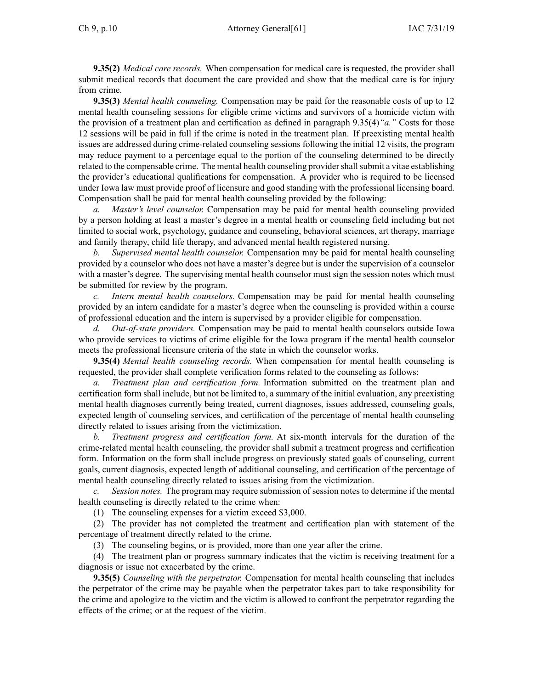**9.35(2)** *Medical care records.* When compensation for medical care is requested, the provider shall submit medical records that document the care provided and show that the medical care is for injury from crime.

**9.35(3)** *Mental health counseling.* Compensation may be paid for the reasonable costs of up to 12 mental health counseling sessions for eligible crime victims and survivors of <sup>a</sup> homicide victim with the provision of <sup>a</sup> treatment plan and certification as defined in paragraph [9.35\(4\)](https://www.legis.iowa.gov/docs/iac/rule/61.9.35.pdf)*"a."* Costs for those 12 sessions will be paid in full if the crime is noted in the treatment plan. If preexisting mental health issues are addressed during crime-related counseling sessions following the initial 12 visits, the program may reduce paymen<sup>t</sup> to <sup>a</sup> percentage equal to the portion of the counseling determined to be directly related to the compensable crime. The mental health counseling provider shall submit a vitae establishing the provider's educational qualifications for compensation. A provider who is required to be licensed under Iowa law must provide proof of licensure and good standing with the professional licensing board. Compensation shall be paid for mental health counseling provided by the following:

*a. Master's level counselor.* Compensation may be paid for mental health counseling provided by <sup>a</sup> person holding at least <sup>a</sup> master's degree in <sup>a</sup> mental health or counseling field including but not limited to social work, psychology, guidance and counseling, behavioral sciences, art therapy, marriage and family therapy, child life therapy, and advanced mental health registered nursing.

*b. Supervised mental health counselor.* Compensation may be paid for mental health counseling provided by <sup>a</sup> counselor who does not have <sup>a</sup> master's degree but is under the supervision of <sup>a</sup> counselor with <sup>a</sup> master's degree. The supervising mental health counselor must sign the session notes which must be submitted for review by the program.

*c. Intern mental health counselors.* Compensation may be paid for mental health counseling provided by an intern candidate for <sup>a</sup> master's degree when the counseling is provided within <sup>a</sup> course of professional education and the intern is supervised by <sup>a</sup> provider eligible for compensation.

*d. Out-of-state providers.* Compensation may be paid to mental health counselors outside Iowa who provide services to victims of crime eligible for the Iowa program if the mental health counselor meets the professional licensure criteria of the state in which the counselor works.

**9.35(4)** *Mental health counseling records.* When compensation for mental health counseling is requested, the provider shall complete verification forms related to the counseling as follows:

*a. Treatment plan and certification form.* Information submitted on the treatment plan and certification form shall include, but not be limited to, <sup>a</sup> summary of the initial evaluation, any preexisting mental health diagnoses currently being treated, current diagnoses, issues addressed, counseling goals, expected length of counseling services, and certification of the percentage of mental health counseling directly related to issues arising from the victimization.

*b. Treatment progress and certification form.* At six-month intervals for the duration of the crime-related mental health counseling, the provider shall submit <sup>a</sup> treatment progress and certification form. Information on the form shall include progress on previously stated goals of counseling, current goals, current diagnosis, expected length of additional counseling, and certification of the percentage of mental health counseling directly related to issues arising from the victimization.

*c. Session notes.* The program may require submission of session notes to determine if the mental health counseling is directly related to the crime when:

(1) The counseling expenses for <sup>a</sup> victim exceed \$3,000.

(2) The provider has not completed the treatment and certification plan with statement of the percentage of treatment directly related to the crime.

(3) The counseling begins, or is provided, more than one year after the crime.

(4) The treatment plan or progress summary indicates that the victim is receiving treatment for <sup>a</sup> diagnosis or issue not exacerbated by the crime.

**9.35(5)** *Counseling with the perpetrator.* Compensation for mental health counseling that includes the perpetrator of the crime may be payable when the perpetrator takes par<sup>t</sup> to take responsibility for the crime and apologize to the victim and the victim is allowed to confront the perpetrator regarding the effects of the crime; or at the reques<sup>t</sup> of the victim.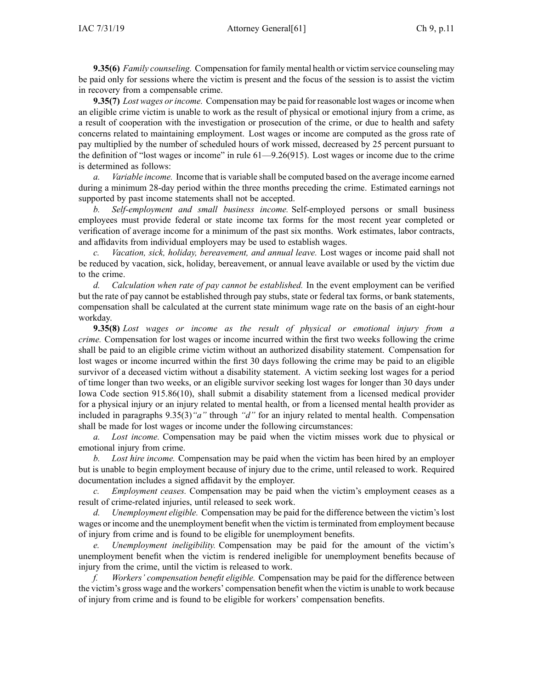**9.35(6)** *Family counseling.* Compensation for family mental health or victim service counseling may be paid only for sessions where the victim is presen<sup>t</sup> and the focus of the session is to assist the victim in recovery from <sup>a</sup> compensable crime.

**9.35(7)** *Lost wages orincome.* Compensation may be paid for reasonable lost wages or income when an eligible crime victim is unable to work as the result of physical or emotional injury from <sup>a</sup> crime, as <sup>a</sup> result of cooperation with the investigation or prosecution of the crime, or due to health and safety concerns related to maintaining employment. Lost wages or income are computed as the gross rate of pay multiplied by the number of scheduled hours of work missed, decreased by 25 percen<sup>t</sup> pursuan<sup>t</sup> to the definition of "lost wages or income" in rule [61—9.26](https://www.legis.iowa.gov/docs/iac/rule/9.61.26.pdf)(915). Lost wages or income due to the crime is determined as follows:

*a. Variable income.* Income that is variable shall be computed based on the average income earned during <sup>a</sup> minimum 28-day period within the three months preceding the crime. Estimated earnings not supported by pas<sup>t</sup> income statements shall not be accepted.

*b. Self-employment and small business income.* Self-employed persons or small business employees must provide federal or state income tax forms for the most recent year completed or verification of average income for <sup>a</sup> minimum of the pas<sup>t</sup> six months. Work estimates, labor contracts, and affidavits from individual employers may be used to establish wages.

*c. Vacation, sick, holiday, bereavement, and annual leave.* Lost wages or income paid shall not be reduced by vacation, sick, holiday, bereavement, or annual leave available or used by the victim due to the crime.

*d. Calculation when rate of pay cannot be established.* In the event employment can be verified but the rate of pay cannot be established through pay stubs, state or federal tax forms, or bank statements, compensation shall be calculated at the current state minimum wage rate on the basis of an eight-hour workday.

**9.35(8)** *Lost wages or income as the result of physical or emotional injury from <sup>a</sup> crime.* Compensation for lost wages or income incurred within the first two weeks following the crime shall be paid to an eligible crime victim without an authorized disability statement. Compensation for lost wages or income incurred within the first 30 days following the crime may be paid to an eligible survivor of <sup>a</sup> deceased victim without <sup>a</sup> disability statement. A victim seeking lost wages for <sup>a</sup> period of time longer than two weeks, or an eligible survivor seeking lost wages for longer than 30 days under Iowa Code section [915.86\(10\)](https://www.legis.iowa.gov/docs/ico/section/915.86.pdf), shall submit <sup>a</sup> disability statement from <sup>a</sup> licensed medical provider for <sup>a</sup> physical injury or an injury related to mental health, or from <sup>a</sup> licensed mental health provider as included in paragraphs [9.35\(3\)](https://www.legis.iowa.gov/docs/iac/rule/61.9.35.pdf)*"a"* through *"d"* for an injury related to mental health. Compensation shall be made for lost wages or income under the following circumstances:

*a. Lost income.* Compensation may be paid when the victim misses work due to physical or emotional injury from crime.

*b. Lost hire income.* Compensation may be paid when the victim has been hired by an employer but is unable to begin employment because of injury due to the crime, until released to work. Required documentation includes <sup>a</sup> signed affidavit by the employer.

*c. Employment ceases.* Compensation may be paid when the victim's employment ceases as <sup>a</sup> result of crime-related injuries, until released to seek work.

*d. Unemployment eligible.* Compensation may be paid for the difference between the victim's lost wages or income and the unemployment benefit when the victim isterminated from employment because of injury from crime and is found to be eligible for unemployment benefits.

*e. Unemployment ineligibility.* Compensation may be paid for the amount of the victim's unemployment benefit when the victim is rendered ineligible for unemployment benefits because of injury from the crime, until the victim is released to work.

*f. Workers' compensation benefit eligible.* Compensation may be paid for the difference between the victim's gross wage and the workers' compensation benefit when the victim is unable to work because of injury from crime and is found to be eligible for workers' compensation benefits.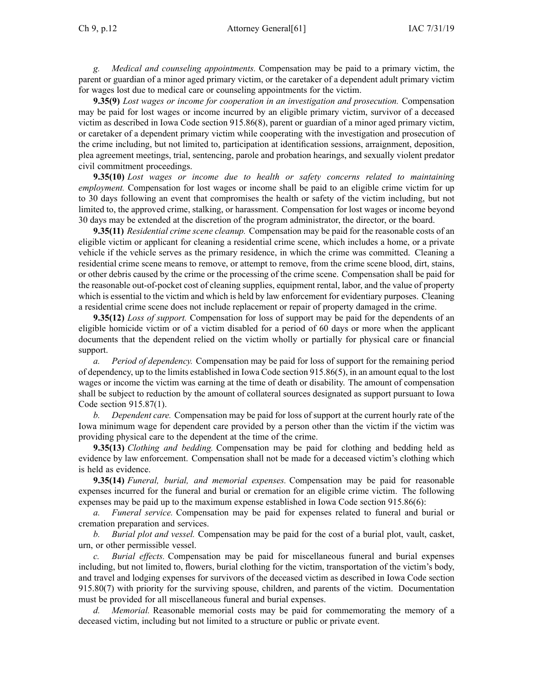*g. Medical and counseling appointments.* Compensation may be paid to <sup>a</sup> primary victim, the paren<sup>t</sup> or guardian of <sup>a</sup> minor aged primary victim, or the caretaker of <sup>a</sup> dependent adult primary victim for wages lost due to medical care or counseling appointments for the victim.

**9.35(9)** *Lost wages or income for cooperation in an investigation and prosecution.* Compensation may be paid for lost wages or income incurred by an eligible primary victim, survivor of <sup>a</sup> deceased victim as described in Iowa Code section [915.86\(8\)](https://www.legis.iowa.gov/docs/ico/section/915.86.pdf), paren<sup>t</sup> or guardian of <sup>a</sup> minor aged primary victim, or caretaker of <sup>a</sup> dependent primary victim while cooperating with the investigation and prosecution of the crime including, but not limited to, participation at identification sessions, arraignment, deposition, plea agreemen<sup>t</sup> meetings, trial, sentencing, parole and probation hearings, and sexually violent predator civil commitment proceedings.

**9.35(10)** *Lost wages or income due to health or safety concerns related to maintaining employment.* Compensation for lost wages or income shall be paid to an eligible crime victim for up to 30 days following an event that compromises the health or safety of the victim including, but not limited to, the approved crime, stalking, or harassment. Compensation for lost wages or income beyond 30 days may be extended at the discretion of the program administrator, the director, or the board.

**9.35(11)** *Residential crime scene cleanup.* Compensation may be paid for the reasonable costs of an eligible victim or applicant for cleaning <sup>a</sup> residential crime scene, which includes <sup>a</sup> home, or <sup>a</sup> private vehicle if the vehicle serves as the primary residence, in which the crime was committed. Cleaning <sup>a</sup> residential crime scene means to remove, or attempt to remove, from the crime scene blood, dirt, stains, or other debris caused by the crime or the processing of the crime scene. Compensation shall be paid for the reasonable out-of-pocket cost of cleaning supplies, equipment rental, labor, and the value of property which is essential to the victim and which is held by law enforcement for evidentiary purposes. Cleaning <sup>a</sup> residential crime scene does not include replacement or repair of property damaged in the crime.

**9.35(12)** *Loss of support.* Compensation for loss of suppor<sup>t</sup> may be paid for the dependents of an eligible homicide victim or of <sup>a</sup> victim disabled for <sup>a</sup> period of 60 days or more when the applicant documents that the dependent relied on the victim wholly or partially for physical care or financial support.

*a. Period of dependency.* Compensation may be paid for loss of suppor<sup>t</sup> for the remaining period of dependency, up to the limits established in Iowa Code section [915.86\(5\)](https://www.legis.iowa.gov/docs/ico/section/915.86.pdf), in an amount equal to the lost wages or income the victim was earning at the time of death or disability. The amount of compensation shall be subject to reduction by the amount of collateral sources designated as suppor<sup>t</sup> pursuan<sup>t</sup> to Iowa Code section [915.87\(1\)](https://www.legis.iowa.gov/docs/ico/section/915.87.pdf).

*b. Dependent care.* Compensation may be paid for loss of suppor<sup>t</sup> at the current hourly rate of the Iowa minimum wage for dependent care provided by <sup>a</sup> person other than the victim if the victim was providing physical care to the dependent at the time of the crime.

**9.35(13)** *Clothing and bedding.* Compensation may be paid for clothing and bedding held as evidence by law enforcement. Compensation shall not be made for <sup>a</sup> deceased victim's clothing which is held as evidence.

**9.35(14)** *Funeral, burial, and memorial expenses.* Compensation may be paid for reasonable expenses incurred for the funeral and burial or cremation for an eligible crime victim. The following expenses may be paid up to the maximum expense established in Iowa Code section [915.86\(6\)](https://www.legis.iowa.gov/docs/ico/section/915.86.pdf):

*a. Funeral service.* Compensation may be paid for expenses related to funeral and burial or cremation preparation and services.

*b. Burial plot and vessel.* Compensation may be paid for the cost of <sup>a</sup> burial plot, vault, casket, urn, or other permissible vessel.

*c. Burial effects.* Compensation may be paid for miscellaneous funeral and burial expenses including, but not limited to, flowers, burial clothing for the victim, transportation of the victim's body, and travel and lodging expenses for survivors of the deceased victim as described in Iowa Code section [915.80\(7\)](https://www.legis.iowa.gov/docs/ico/section/915.80.pdf) with priority for the surviving spouse, children, and parents of the victim. Documentation must be provided for all miscellaneous funeral and burial expenses.

*d. Memorial.* Reasonable memorial costs may be paid for commemorating the memory of <sup>a</sup> deceased victim, including but not limited to <sup>a</sup> structure or public or private event.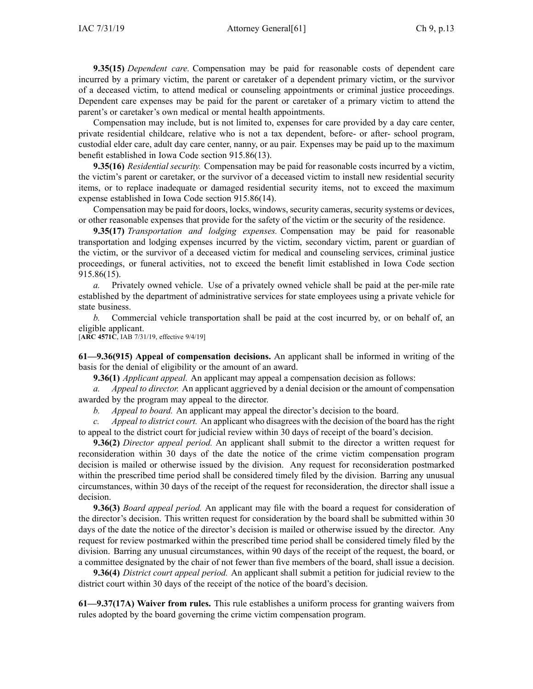**9.35(15)** *Dependent care.* Compensation may be paid for reasonable costs of dependent care incurred by <sup>a</sup> primary victim, the paren<sup>t</sup> or caretaker of <sup>a</sup> dependent primary victim, or the survivor of <sup>a</sup> deceased victim, to attend medical or counseling appointments or criminal justice proceedings. Dependent care expenses may be paid for the paren<sup>t</sup> or caretaker of <sup>a</sup> primary victim to attend the parent's or caretaker's own medical or mental health appointments.

Compensation may include, but is not limited to, expenses for care provided by <sup>a</sup> day care center, private residential childcare, relative who is not <sup>a</sup> tax dependent, before- or after- school program, custodial elder care, adult day care center, nanny, or au pair. Expenses may be paid up to the maximum benefit established in Iowa Code section [915.86\(13\)](https://www.legis.iowa.gov/docs/ico/section/915.86.pdf).

**9.35(16)** *Residential security.* Compensation may be paid for reasonable costs incurred by <sup>a</sup> victim, the victim's paren<sup>t</sup> or caretaker, or the survivor of <sup>a</sup> deceased victim to install new residential security items, or to replace inadequate or damaged residential security items, not to exceed the maximum expense established in Iowa Code section [915.86\(14\)](https://www.legis.iowa.gov/docs/ico/section/915.86.pdf).

Compensation may be paid for doors, locks, windows, security cameras, security systems or devices, or other reasonable expenses that provide for the safety of the victim or the security of the residence.

**9.35(17)** *Transportation and lodging expenses.* Compensation may be paid for reasonable transportation and lodging expenses incurred by the victim, secondary victim, paren<sup>t</sup> or guardian of the victim, or the survivor of <sup>a</sup> deceased victim for medical and counseling services, criminal justice proceedings, or funeral activities, not to exceed the benefit limit established in Iowa Code section [915.86\(15\)](https://www.legis.iowa.gov/docs/ico/section/915.86.pdf).

*a.* Privately owned vehicle. Use of <sup>a</sup> privately owned vehicle shall be paid at the per-mile rate established by the department of administrative services for state employees using <sup>a</sup> private vehicle for state business.

*b.* Commercial vehicle transportation shall be paid at the cost incurred by, or on behalf of, an eligible applicant.

[**ARC [4571C](https://www.legis.iowa.gov/docs/aco/arc/4571C.pdf)**, IAB 7/31/19, effective 9/4/19]

**61—9.36(915) Appeal of compensation decisions.** An applicant shall be informed in writing of the basis for the denial of eligibility or the amount of an award.

**9.36(1)** *Applicant appeal.* An applicant may appeal <sup>a</sup> compensation decision as follows:

*a. Appeal to director.* An applicant aggrieved by <sup>a</sup> denial decision or the amount of compensation awarded by the program may appeal to the director.

*b. Appeal to board.* An applicant may appeal the director's decision to the board.

*c. Appeal to district court.* An applicant who disagrees with the decision of the board has the right to appeal to the district court for judicial review within 30 days of receipt of the board's decision.

**9.36(2)** *Director appeal period.* An applicant shall submit to the director <sup>a</sup> written reques<sup>t</sup> for reconsideration within 30 days of the date the notice of the crime victim compensation program decision is mailed or otherwise issued by the division. Any reques<sup>t</sup> for reconsideration postmarked within the prescribed time period shall be considered timely filed by the division. Barring any unusual circumstances, within 30 days of the receipt of the reques<sup>t</sup> for reconsideration, the director shall issue <sup>a</sup> decision.

**9.36(3)** *Board appeal period.* An applicant may file with the board <sup>a</sup> reques<sup>t</sup> for consideration of the director's decision. This written reques<sup>t</sup> for consideration by the board shall be submitted within 30 days of the date the notice of the director's decision is mailed or otherwise issued by the director. Any reques<sup>t</sup> for review postmarked within the prescribed time period shall be considered timely filed by the division. Barring any unusual circumstances, within 90 days of the receipt of the request, the board, or <sup>a</sup> committee designated by the chair of not fewer than five members of the board, shall issue <sup>a</sup> decision.

**9.36(4)** *District court appeal period.* An applicant shall submit <sup>a</sup> petition for judicial review to the district court within 30 days of the receipt of the notice of the board's decision.

**61—9.37(17A) Waiver from rules.** This rule establishes <sup>a</sup> uniform process for granting waivers from rules adopted by the board governing the crime victim compensation program.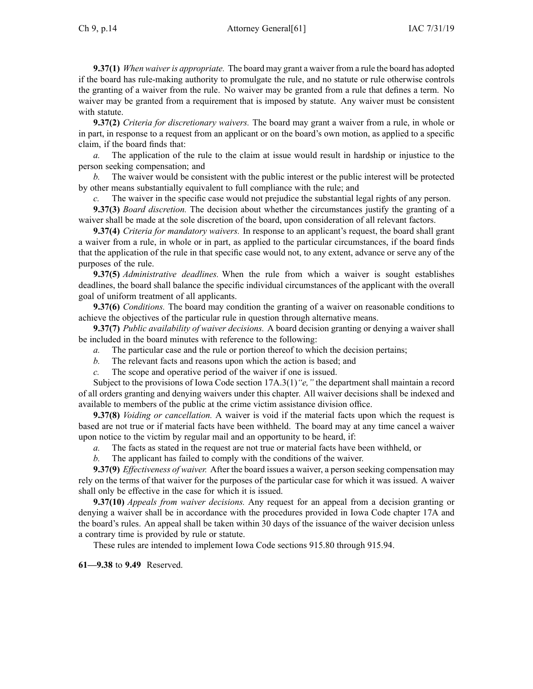**9.37(1)** *When waiveris appropriate.* The board may gran<sup>t</sup> <sup>a</sup> waiver from <sup>a</sup> rule the board has adopted if the board has rule-making authority to promulgate the rule, and no statute or rule otherwise controls the granting of <sup>a</sup> waiver from the rule. No waiver may be granted from <sup>a</sup> rule that defines <sup>a</sup> term. No waiver may be granted from <sup>a</sup> requirement that is imposed by statute. Any waiver must be consistent with statute.

**9.37(2)** *Criteria for discretionary waivers.* The board may gran<sup>t</sup> <sup>a</sup> waiver from <sup>a</sup> rule, in whole or in part, in response to <sup>a</sup> reques<sup>t</sup> from an applicant or on the board's own motion, as applied to <sup>a</sup> specific claim, if the board finds that:

*a.* The application of the rule to the claim at issue would result in hardship or injustice to the person seeking compensation; and

*b.* The waiver would be consistent with the public interest or the public interest will be protected by other means substantially equivalent to full compliance with the rule; and

*c.* The waiver in the specific case would not prejudice the substantial legal rights of any person.

**9.37(3)** *Board discretion.* The decision about whether the circumstances justify the granting of <sup>a</sup> waiver shall be made at the sole discretion of the board, upon consideration of all relevant factors.

**9.37(4)** *Criteria for mandatory waivers.* In response to an applicant's request, the board shall gran<sup>t</sup> <sup>a</sup> waiver from <sup>a</sup> rule, in whole or in part, as applied to the particular circumstances, if the board finds that the application of the rule in that specific case would not, to any extent, advance or serve any of the purposes of the rule.

**9.37(5)** *Administrative deadlines.* When the rule from which <sup>a</sup> waiver is sought establishes deadlines, the board shall balance the specific individual circumstances of the applicant with the overall goal of uniform treatment of all applicants.

**9.37(6)** *Conditions.* The board may condition the granting of <sup>a</sup> waiver on reasonable conditions to achieve the objectives of the particular rule in question through alternative means.

**9.37(7)** *Public availability of waiver decisions.* A board decision granting or denying <sup>a</sup> waiver shall be included in the board minutes with reference to the following:

*a.* The particular case and the rule or portion thereof to which the decision pertains;

- *b.* The relevant facts and reasons upon which the action is based; and
- *c.* The scope and operative period of the waiver if one is issued.

Subject to the provisions of Iowa Code section [17A.3\(1\)](https://www.legis.iowa.gov/docs/ico/section/17A.3.pdf)*"e,"* the department shall maintain <sup>a</sup> record of all orders granting and denying waivers under this chapter. All waiver decisions shall be indexed and available to members of the public at the crime victim assistance division office.

**9.37(8)** *Voiding or cancellation.* A waiver is void if the material facts upon which the reques<sup>t</sup> is based are not true or if material facts have been withheld. The board may at any time cancel <sup>a</sup> waiver upon notice to the victim by regular mail and an opportunity to be heard, if:

*a.* The facts as stated in the reques<sup>t</sup> are not true or material facts have been withheld, or

*b.* The applicant has failed to comply with the conditions of the waiver.

**9.37(9)** *Effectiveness of waiver.* After the board issues <sup>a</sup> waiver, <sup>a</sup> person seeking compensation may rely on the terms of that waiver for the purposes of the particular case for which it was issued. A waiver shall only be effective in the case for which it is issued.

**9.37(10)** *Appeals from waiver decisions.* Any reques<sup>t</sup> for an appeal from <sup>a</sup> decision granting or denying <sup>a</sup> waiver shall be in accordance with the procedures provided in Iowa Code chapter [17A](https://www.legis.iowa.gov/docs/ico/chapter/17A.pdf) and the board's rules. An appeal shall be taken within 30 days of the issuance of the waiver decision unless <sup>a</sup> contrary time is provided by rule or statute.

These rules are intended to implement Iowa Code sections 915.80 [through](https://www.legis.iowa.gov/docs/ico/section/915.80-94.pdf) 915.94.

**61—9.38** to **9.49** Reserved.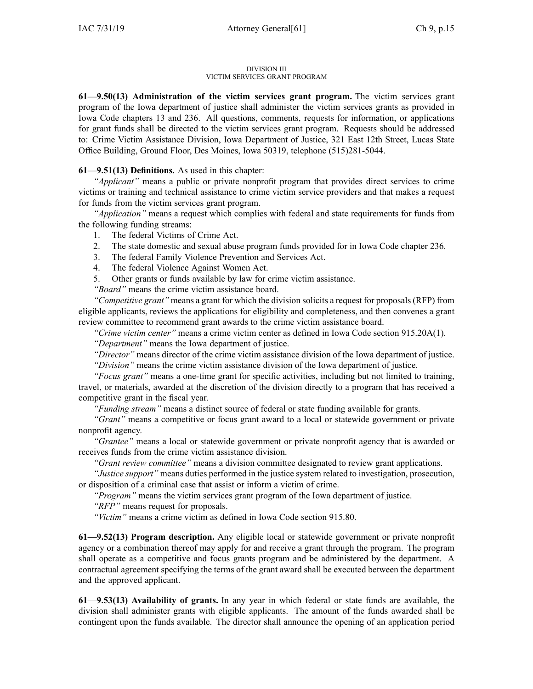#### DIVISION III VICTIM SERVICES GRANT PROGRAM

**61—9.50(13) Administration of the victim services gran<sup>t</sup> program.** The victim services gran<sup>t</sup> program of the Iowa department of justice shall administer the victim services grants as provided in Iowa Code chapters [13](https://www.legis.iowa.gov/docs/ico/chapter/13.pdf) and [236](https://www.legis.iowa.gov/docs/ico/chapter/236.pdf). All questions, comments, requests for information, or applications for gran<sup>t</sup> funds shall be directed to the victim services gran<sup>t</sup> program. Requests should be addressed to: Crime Victim Assistance Division, Iowa Department of Justice, 321 East 12th Street, Lucas State Office Building, Ground Floor, Des Moines, Iowa 50319, telephone (515)281-5044.

**61—9.51(13) Definitions.** As used in this chapter:

*"Applicant"* means <sup>a</sup> public or private nonprofit program that provides direct services to crime victims or training and technical assistance to crime victim service providers and that makes <sup>a</sup> reques<sup>t</sup> for funds from the victim services gran<sup>t</sup> program.

*"Application"* means <sup>a</sup> reques<sup>t</sup> which complies with federal and state requirements for funds from the following funding streams:

- 1. The federal Victims of Crime Act.
- 2. The state domestic and sexual abuse program funds provided for in Iowa Code chapter [236](https://www.legis.iowa.gov/docs/ico/chapter/236.pdf).
- 3. The federal Family Violence Prevention and Services Act.
- 4. The federal Violence Against Women Act.
- 5. Other grants or funds available by law for crime victim assistance.

*"Board"* means the crime victim assistance board.

*"Competitive grant"* means <sup>a</sup> gran<sup>t</sup> for which the division solicits <sup>a</sup> reques<sup>t</sup> for proposals(RFP) from eligible applicants, reviews the applications for eligibility and completeness, and then convenes <sup>a</sup> gran<sup>t</sup> review committee to recommend gran<sup>t</sup> awards to the crime victim assistance board.

*"Crime victim center"* means <sup>a</sup> crime victim center as defined in Iowa Code section [915.20A\(1\)](https://www.legis.iowa.gov/docs/ico/section/915.20A.pdf).

*"Department"* means the Iowa department of justice.

*"Director"* means director of the crime victim assistance division of the Iowa department of justice.

*"Division"* means the crime victim assistance division of the Iowa department of justice.

*"Focus grant"* means <sup>a</sup> one-time gran<sup>t</sup> for specific activities, including but not limited to training, travel, or materials, awarded at the discretion of the division directly to <sup>a</sup> program that has received <sup>a</sup> competitive gran<sup>t</sup> in the fiscal year.

*"Funding stream"* means <sup>a</sup> distinct source of federal or state funding available for grants.

*"Grant"* means <sup>a</sup> competitive or focus gran<sup>t</sup> award to <sup>a</sup> local or statewide governmen<sup>t</sup> or private nonprofit agency.

*"Grantee"* means <sup>a</sup> local or statewide governmen<sup>t</sup> or private nonprofit agency that is awarded or receives funds from the crime victim assistance division.

*"Grant review committee"* means <sup>a</sup> division committee designated to review gran<sup>t</sup> applications.

*"Justice support"* means duties performed in the justice system related to investigation, prosecution, or disposition of <sup>a</sup> criminal case that assist or inform <sup>a</sup> victim of crime.

*"Program"* means the victim services gran<sup>t</sup> program of the Iowa department of justice.

*"RFP"* means reques<sup>t</sup> for proposals.

*"Victim"* means <sup>a</sup> crime victim as defined in Iowa Code section [915.80](https://www.legis.iowa.gov/docs/ico/section/915.80.pdf).

**61—9.52(13) Program description.** Any eligible local or statewide governmen<sup>t</sup> or private nonprofit agency or <sup>a</sup> combination thereof may apply for and receive <sup>a</sup> gran<sup>t</sup> through the program. The program shall operate as <sup>a</sup> competitive and focus grants program and be administered by the department. A contractual agreemen<sup>t</sup> specifying the terms of the gran<sup>t</sup> award shall be executed between the department and the approved applicant.

**61—9.53(13) Availability of grants.** In any year in which federal or state funds are available, the division shall administer grants with eligible applicants. The amount of the funds awarded shall be contingent upon the funds available. The director shall announce the opening of an application period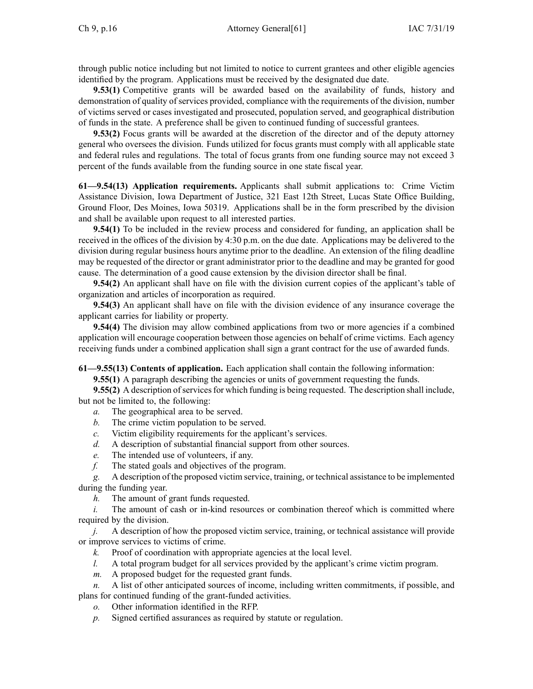through public notice including but not limited to notice to current grantees and other eligible agencies identified by the program. Applications must be received by the designated due date.

**9.53(1)** Competitive grants will be awarded based on the availability of funds, history and demonstration of quality of services provided, compliance with the requirements of the division, number of victims served or cases investigated and prosecuted, population served, and geographical distribution of funds in the state. A preference shall be given to continued funding of successful grantees.

**9.53(2)** Focus grants will be awarded at the discretion of the director and of the deputy attorney general who oversees the division. Funds utilized for focus grants must comply with all applicable state and federal rules and regulations. The total of focus grants from one funding source may not exceed 3 percen<sup>t</sup> of the funds available from the funding source in one state fiscal year.

**61—9.54(13) Application requirements.** Applicants shall submit applications to: Crime Victim Assistance Division, Iowa Department of Justice, 321 East 12th Street, Lucas State Office Building, Ground Floor, Des Moines, Iowa 50319. Applications shall be in the form prescribed by the division and shall be available upon reques<sup>t</sup> to all interested parties.

**9.54(1)** To be included in the review process and considered for funding, an application shall be received in the offices of the division by 4:30 p.m. on the due date. Applications may be delivered to the division during regular business hours anytime prior to the deadline. An extension of the filing deadline may be requested of the director or gran<sup>t</sup> administrator prior to the deadline and may be granted for good cause. The determination of <sup>a</sup> good cause extension by the division director shall be final.

**9.54(2)** An applicant shall have on file with the division current copies of the applicant's table of organization and articles of incorporation as required.

**9.54(3)** An applicant shall have on file with the division evidence of any insurance coverage the applicant carries for liability or property.

**9.54(4)** The division may allow combined applications from two or more agencies if <sup>a</sup> combined application will encourage cooperation between those agencies on behalf of crime victims. Each agency receiving funds under <sup>a</sup> combined application shall sign <sup>a</sup> gran<sup>t</sup> contract for the use of awarded funds.

**61—9.55(13) Contents of application.** Each application shall contain the following information:

**9.55(1)** A paragraph describing the agencies or units of governmen<sup>t</sup> requesting the funds.

**9.55(2)** A description of services for which funding is being requested. The description shall include, but not be limited to, the following:

- *a.* The geographical area to be served.
- *b.* The crime victim population to be served.
- *c.* Victim eligibility requirements for the applicant's services.
- *d.* A description of substantial financial suppor<sup>t</sup> from other sources.
- *e.* The intended use of volunteers, if any.
- *f.* The stated goals and objectives of the program.

*g.* A description of the proposed victim service, training, or technical assistance to be implemented during the funding year.

*h.* The amount of gran<sup>t</sup> funds requested.

The amount of cash or in-kind resources or combination thereof which is committed where required by the division.

*j.* A description of how the proposed victim service, training, or technical assistance will provide or improve services to victims of crime.

- *k.* Proof of coordination with appropriate agencies at the local level.
- *l.* A total program budget for all services provided by the applicant's crime victim program.
- *m.* A proposed budget for the requested gran<sup>t</sup> funds.

*n.* A list of other anticipated sources of income, including written commitments, if possible, and plans for continued funding of the grant-funded activities.

- *o.* Other information identified in the RFP.
- *p.* Signed certified assurances as required by statute or regulation.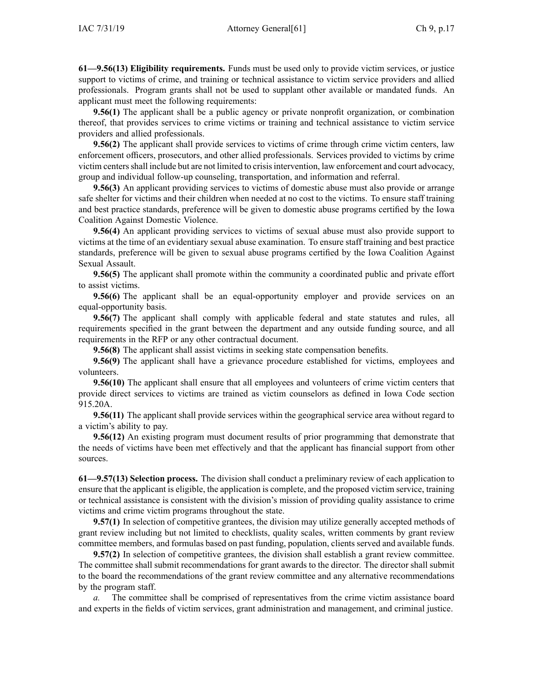**61—9.56(13) Eligibility requirements.** Funds must be used only to provide victim services, or justice suppor<sup>t</sup> to victims of crime, and training or technical assistance to victim service providers and allied professionals. Program grants shall not be used to supplant other available or mandated funds. An applicant must meet the following requirements:

**9.56(1)** The applicant shall be <sup>a</sup> public agency or private nonprofit organization, or combination thereof, that provides services to crime victims or training and technical assistance to victim service providers and allied professionals.

**9.56(2)** The applicant shall provide services to victims of crime through crime victim centers, law enforcement officers, prosecutors, and other allied professionals. Services provided to victims by crime victim centersshall include but are not limited to crisisintervention, law enforcement and court advocacy, group and individual follow-up counseling, transportation, and information and referral.

**9.56(3)** An applicant providing services to victims of domestic abuse must also provide or arrange safe shelter for victims and their children when needed at no cost to the victims. To ensure staff training and best practice standards, preference will be given to domestic abuse programs certified by the Iowa Coalition Against Domestic Violence.

**9.56(4)** An applicant providing services to victims of sexual abuse must also provide suppor<sup>t</sup> to victims at the time of an evidentiary sexual abuse examination. To ensure staff training and best practice standards, preference will be given to sexual abuse programs certified by the Iowa Coalition Against Sexual Assault.

**9.56(5)** The applicant shall promote within the community <sup>a</sup> coordinated public and private effort to assist victims.

**9.56(6)** The applicant shall be an equal-opportunity employer and provide services on an equal-opportunity basis.

**9.56(7)** The applicant shall comply with applicable federal and state statutes and rules, all requirements specified in the gran<sup>t</sup> between the department and any outside funding source, and all requirements in the RFP or any other contractual document.

**9.56(8)** The applicant shall assist victims in seeking state compensation benefits.

**9.56(9)** The applicant shall have <sup>a</sup> grievance procedure established for victims, employees and volunteers.

**9.56(10)** The applicant shall ensure that all employees and volunteers of crime victim centers that provide direct services to victims are trained as victim counselors as defined in Iowa Code section [915.20A](https://www.legis.iowa.gov/docs/ico/section/915.20A.pdf).

**9.56(11)** The applicant shall provide services within the geographical service area without regard to <sup>a</sup> victim's ability to pay.

**9.56(12)** An existing program must document results of prior programming that demonstrate that the needs of victims have been met effectively and that the applicant has financial suppor<sup>t</sup> from other sources.

**61—9.57(13) Selection process.** The division shall conduct <sup>a</sup> preliminary review of each application to ensure that the applicant is eligible, the application is complete, and the proposed victim service, training or technical assistance is consistent with the division's mission of providing quality assistance to crime victims and crime victim programs throughout the state.

**9.57(1)** In selection of competitive grantees, the division may utilize generally accepted methods of gran<sup>t</sup> review including but not limited to checklists, quality scales, written comments by gran<sup>t</sup> review committee members, and formulas based on pas<sup>t</sup> funding, population, clients served and available funds.

**9.57(2)** In selection of competitive grantees, the division shall establish <sup>a</sup> gran<sup>t</sup> review committee. The committee shall submit recommendations for gran<sup>t</sup> awards to the director. The director shall submit to the board the recommendations of the gran<sup>t</sup> review committee and any alternative recommendations by the program staff.

*a.* The committee shall be comprised of representatives from the crime victim assistance board and experts in the fields of victim services, gran<sup>t</sup> administration and management, and criminal justice.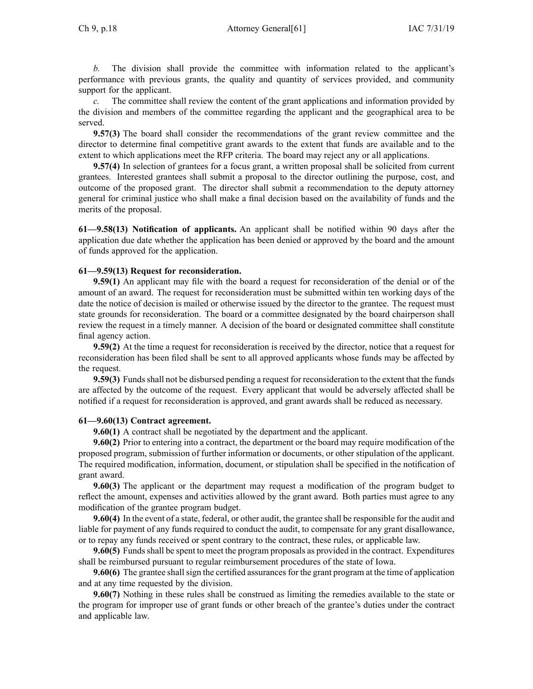*b.* The division shall provide the committee with information related to the applicant's performance with previous grants, the quality and quantity of services provided, and community suppor<sup>t</sup> for the applicant.

*c.* The committee shall review the content of the gran<sup>t</sup> applications and information provided by the division and members of the committee regarding the applicant and the geographical area to be served.

**9.57(3)** The board shall consider the recommendations of the gran<sup>t</sup> review committee and the director to determine final competitive gran<sup>t</sup> awards to the extent that funds are available and to the extent to which applications meet the RFP criteria. The board may reject any or all applications.

**9.57(4)** In selection of grantees for <sup>a</sup> focus grant, <sup>a</sup> written proposal shall be solicited from current grantees. Interested grantees shall submit <sup>a</sup> proposal to the director outlining the purpose, cost, and outcome of the proposed grant. The director shall submit <sup>a</sup> recommendation to the deputy attorney general for criminal justice who shall make <sup>a</sup> final decision based on the availability of funds and the merits of the proposal.

**61—9.58(13) Notification of applicants.** An applicant shall be notified within 90 days after the application due date whether the application has been denied or approved by the board and the amount of funds approved for the application.

## **61—9.59(13) Request for reconsideration.**

**9.59(1)** An applicant may file with the board <sup>a</sup> reques<sup>t</sup> for reconsideration of the denial or of the amount of an award. The reques<sup>t</sup> for reconsideration must be submitted within ten working days of the date the notice of decision is mailed or otherwise issued by the director to the grantee. The reques<sup>t</sup> must state grounds for reconsideration. The board or <sup>a</sup> committee designated by the board chairperson shall review the reques<sup>t</sup> in <sup>a</sup> timely manner. A decision of the board or designated committee shall constitute final agency action.

**9.59(2)** At the time <sup>a</sup> reques<sup>t</sup> for reconsideration is received by the director, notice that <sup>a</sup> reques<sup>t</sup> for reconsideration has been filed shall be sent to all approved applicants whose funds may be affected by the request.

**9.59(3)** Fundsshall not be disbursed pending <sup>a</sup> reques<sup>t</sup> for reconsideration to the extent that the funds are affected by the outcome of the request. Every applicant that would be adversely affected shall be notified if <sup>a</sup> reques<sup>t</sup> for reconsideration is approved, and gran<sup>t</sup> awards shall be reduced as necessary.

## **61—9.60(13) Contract agreement.**

**9.60(1)** A contract shall be negotiated by the department and the applicant.

**9.60(2)** Prior to entering into <sup>a</sup> contract, the department or the board may require modification of the proposed program, submission of further information or documents, or other stipulation of the applicant. The required modification, information, document, or stipulation shall be specified in the notification of gran<sup>t</sup> award.

**9.60(3)** The applicant or the department may reques<sup>t</sup> <sup>a</sup> modification of the program budget to reflect the amount, expenses and activities allowed by the gran<sup>t</sup> award. Both parties must agree to any modification of the grantee program budget.

**9.60(4)** In the event of <sup>a</sup> state, federal, or other audit, the grantee shall be responsible for the audit and liable for paymen<sup>t</sup> of any funds required to conduct the audit, to compensate for any gran<sup>t</sup> disallowance, or to repay any funds received or spen<sup>t</sup> contrary to the contract, these rules, or applicable law.

**9.60(5)** Funds shall be spent to meet the program proposals as provided in the contract. Expenditures shall be reimbursed pursuan<sup>t</sup> to regular reimbursement procedures of the state of Iowa.

**9.60(6)** The grantee shall sign the certified assurances for the grant program at the time of application and at any time requested by the division.

**9.60(7)** Nothing in these rules shall be construed as limiting the remedies available to the state or the program for improper use of gran<sup>t</sup> funds or other breach of the grantee's duties under the contract and applicable law.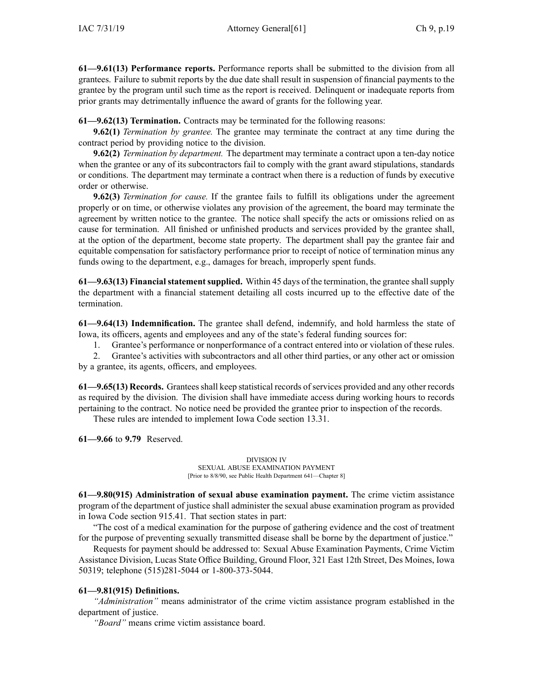**61—9.61(13) Performance reports.** Performance reports shall be submitted to the division from all grantees. Failure to submit reports by the due date shall result in suspension of financial payments to the grantee by the program until such time as the repor<sup>t</sup> is received. Delinquent or inadequate reports from prior grants may detrimentally influence the award of grants for the following year.

**61—9.62(13) Termination.** Contracts may be terminated for the following reasons:

**9.62(1)** *Termination by grantee.* The grantee may terminate the contract at any time during the contract period by providing notice to the division.

**9.62(2)** *Termination by department.* The department may terminate <sup>a</sup> contract upon <sup>a</sup> ten-day notice when the grantee or any of its subcontractors fail to comply with the gran<sup>t</sup> award stipulations, standards or conditions. The department may terminate <sup>a</sup> contract when there is <sup>a</sup> reduction of funds by executive order or otherwise.

**9.62(3)** *Termination for cause.* If the grantee fails to fulfill its obligations under the agreemen<sup>t</sup> properly or on time, or otherwise violates any provision of the agreement, the board may terminate the agreemen<sup>t</sup> by written notice to the grantee. The notice shall specify the acts or omissions relied on as cause for termination. All finished or unfinished products and services provided by the grantee shall, at the option of the department, become state property. The department shall pay the grantee fair and equitable compensation for satisfactory performance prior to receipt of notice of termination minus any funds owing to the department, e.g., damages for breach, improperly spen<sup>t</sup> funds.

**61—9.63(13) Financial statement supplied.** Within 45 days of the termination, the grantee shall supply the department with <sup>a</sup> financial statement detailing all costs incurred up to the effective date of the termination.

**61—9.64(13) Indemnification.** The grantee shall defend, indemnify, and hold harmless the state of Iowa, its officers, agents and employees and any of the state's federal funding sources for:

1. Grantee's performance or nonperformance of <sup>a</sup> contract entered into or violation of these rules.

2. Grantee's activities with subcontractors and all other third parties, or any other act or omission by <sup>a</sup> grantee, its agents, officers, and employees.

**61—9.65(13) Records.** Granteesshall keep statistical records ofservices provided and any other records as required by the division. The division shall have immediate access during working hours to records pertaining to the contract. No notice need be provided the grantee prior to inspection of the records.

These rules are intended to implement Iowa Code section [13.31](https://www.legis.iowa.gov/docs/ico/section/13.31.pdf).

**61—9.66** to **9.79** Reserved.

DIVISION IV SEXUAL ABUSE EXAMINATION PAYMENT [Prior to 8/8/90, see Public Health Department 641—Chapter 8]

**61—9.80(915) Administration of sexual abuse examination payment.** The crime victim assistance program of the department of justice shall administer the sexual abuse examination program as provided in Iowa Code section [915.41](https://www.legis.iowa.gov/docs/ico/section/915.41.pdf). That section states in part:

"The cost of <sup>a</sup> medical examination for the purpose of gathering evidence and the cost of treatment for the purpose of preventing sexually transmitted disease shall be borne by the department of justice."

Requests for paymen<sup>t</sup> should be addressed to: Sexual Abuse Examination Payments, Crime Victim Assistance Division, Lucas State Office Building, Ground Floor, 321 East 12th Street, Des Moines, Iowa 50319; telephone (515)281-5044 or 1-800-373-5044.

## **61—9.81(915) Definitions.**

*"Administration"* means administrator of the crime victim assistance program established in the department of justice.

*"Board"* means crime victim assistance board.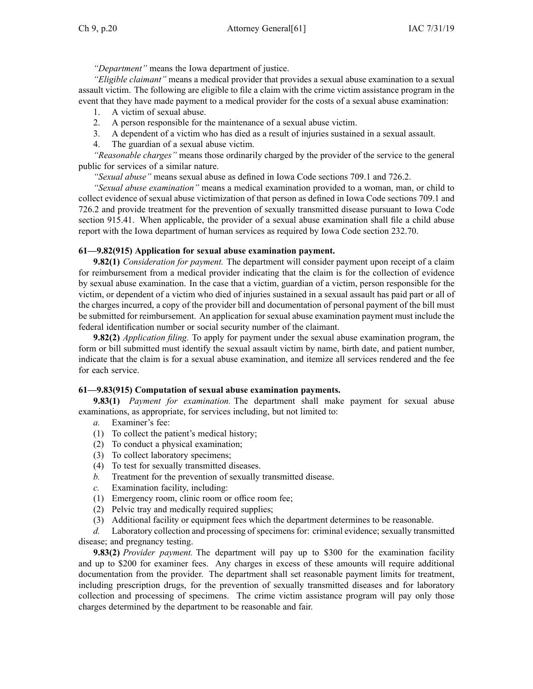*"Department"* means the Iowa department of justice.

*"Eligible claimant"* means <sup>a</sup> medical provider that provides <sup>a</sup> sexual abuse examination to <sup>a</sup> sexual assault victim. The following are eligible to file <sup>a</sup> claim with the crime victim assistance program in the event that they have made paymen<sup>t</sup> to <sup>a</sup> medical provider for the costs of <sup>a</sup> sexual abuse examination:

1. A victim of sexual abuse.

- 2. A person responsible for the maintenance of <sup>a</sup> sexual abuse victim.
- 3. A dependent of <sup>a</sup> victim who has died as <sup>a</sup> result of injuries sustained in <sup>a</sup> sexual assault.
- 4. The guardian of <sup>a</sup> sexual abuse victim.

*"Reasonable charges"* means those ordinarily charged by the provider of the service to the general public for services of <sup>a</sup> similar nature.

*"Sexual abuse"* means sexual abuse as defined in Iowa Code sections [709.1](https://www.legis.iowa.gov/docs/ico/section/709.1.pdf) and [726.2](https://www.legis.iowa.gov/docs/ico/section/726.2.pdf).

*"Sexual abuse examination"* means <sup>a</sup> medical examination provided to <sup>a</sup> woman, man, or child to collect evidence of sexual abuse victimization of that person as defined in Iowa Code sections [709.1](https://www.legis.iowa.gov/docs/ico/section/709.1.pdf) and [726.2](https://www.legis.iowa.gov/docs/ico/section/726.2.pdf) and provide treatment for the prevention of sexually transmitted disease pursuan<sup>t</sup> to Iowa Code section [915.41](https://www.legis.iowa.gov/docs/ico/section/915.41.pdf). When applicable, the provider of <sup>a</sup> sexual abuse examination shall file <sup>a</sup> child abuse repor<sup>t</sup> with the Iowa department of human services as required by Iowa Code section [232.70](https://www.legis.iowa.gov/docs/ico/section/232.70.pdf).

## **61—9.82(915) Application for sexual abuse examination payment.**

**9.82(1)** *Consideration for payment.* The department will consider paymen<sup>t</sup> upon receipt of <sup>a</sup> claim for reimbursement from <sup>a</sup> medical provider indicating that the claim is for the collection of evidence by sexual abuse examination. In the case that <sup>a</sup> victim, guardian of <sup>a</sup> victim, person responsible for the victim, or dependent of <sup>a</sup> victim who died of injuries sustained in <sup>a</sup> sexual assault has paid par<sup>t</sup> or all of the charges incurred, <sup>a</sup> copy of the provider bill and documentation of personal paymen<sup>t</sup> of the bill must be submitted for reimbursement. An application for sexual abuse examination paymen<sup>t</sup> must include the federal identification number or social security number of the claimant.

**9.82(2)** *Application filing.* To apply for paymen<sup>t</sup> under the sexual abuse examination program, the form or bill submitted must identify the sexual assault victim by name, birth date, and patient number, indicate that the claim is for <sup>a</sup> sexual abuse examination, and itemize all services rendered and the fee for each service.

## **61—9.83(915) Computation of sexual abuse examination payments.**

**9.83(1)** *Payment for examination.* The department shall make paymen<sup>t</sup> for sexual abuse examinations, as appropriate, for services including, but not limited to:

- *a.* Examiner's fee:
- (1) To collect the patient's medical history;
- (2) To conduct <sup>a</sup> physical examination;
- (3) To collect laboratory specimens;
- (4) To test for sexually transmitted diseases.
- *b.* Treatment for the prevention of sexually transmitted disease.
- *c.* Examination facility, including:
- (1) Emergency room, clinic room or office room fee;
- (2) Pelvic tray and medically required supplies;
- (3) Additional facility or equipment fees which the department determines to be reasonable.

*d.* Laboratory collection and processing of specimens for: criminal evidence; sexually transmitted disease; and pregnancy testing.

**9.83(2)** *Provider payment.* The department will pay up to \$300 for the examination facility and up to \$200 for examiner fees. Any charges in excess of these amounts will require additional documentation from the provider. The department shall set reasonable paymen<sup>t</sup> limits for treatment, including prescription drugs, for the prevention of sexually transmitted diseases and for laboratory collection and processing of specimens. The crime victim assistance program will pay only those charges determined by the department to be reasonable and fair.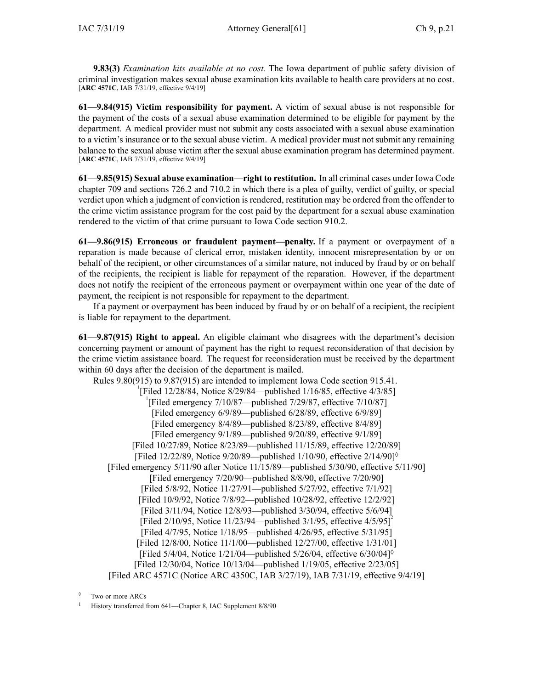**9.83(3)** *Examination kits available at no cost.* The Iowa department of public safety division of criminal investigation makes sexual abuse examination kits available to health care providers at no cost. [**ARC [4571C](https://www.legis.iowa.gov/docs/aco/arc/4571C.pdf)**, IAB 7/31/19, effective 9/4/19]

**61—9.84(915) Victim responsibility for payment.** A victim of sexual abuse is not responsible for the paymen<sup>t</sup> of the costs of <sup>a</sup> sexual abuse examination determined to be eligible for paymen<sup>t</sup> by the department. A medical provider must not submit any costs associated with <sup>a</sup> sexual abuse examination to <sup>a</sup> victim's insurance or to the sexual abuse victim. A medical provider must not submit any remaining balance to the sexual abuse victim after the sexual abuse examination program has determined payment. [**ARC [4571C](https://www.legis.iowa.gov/docs/aco/arc/4571C.pdf)**, IAB 7/31/19, effective 9/4/19]

**61—9.85(915) Sexual abuse examination—right to restitution.** In all criminal cases under Iowa Code chapter [709](https://www.legis.iowa.gov/docs/ico/chapter/709.pdf) and sections [726.2](https://www.legis.iowa.gov/docs/ico/section/726.2.pdf) and [710.2](https://www.legis.iowa.gov/docs/ico/section/710.2.pdf) in which there is <sup>a</sup> plea of guilty, verdict of guilty, or special verdict upon which <sup>a</sup> judgment of conviction is rendered, restitution may be ordered from the offender to the crime victim assistance program for the cost paid by the department for <sup>a</sup> sexual abuse examination rendered to the victim of that crime pursuan<sup>t</sup> to Iowa Code section [910.2](https://www.legis.iowa.gov/docs/ico/section/910.2.pdf).

**61—9.86(915) Erroneous or fraudulent payment—penalty.** If <sup>a</sup> paymen<sup>t</sup> or overpaymen<sup>t</sup> of <sup>a</sup> reparation is made because of clerical error, mistaken identity, innocent misrepresentation by or on behalf of the recipient, or other circumstances of <sup>a</sup> similar nature, not induced by fraud by or on behalf of the recipients, the recipient is liable for repaymen<sup>t</sup> of the reparation. However, if the department does not notify the recipient of the erroneous paymen<sup>t</sup> or overpaymen<sup>t</sup> within one year of the date of payment, the recipient is not responsible for repaymen<sup>t</sup> to the department.

If <sup>a</sup> paymen<sup>t</sup> or overpaymen<sup>t</sup> has been induced by fraud by or on behalf of <sup>a</sup> recipient, the recipient is liable for repaymen<sup>t</sup> to the department.

**61—9.87(915) Right to appeal.** An eligible claimant who disagrees with the department's decision concerning paymen<sup>t</sup> or amount of paymen<sup>t</sup> has the right to reques<sup>t</sup> reconsideration of that decision by the crime victim assistance board. The reques<sup>t</sup> for reconsideration must be received by the department within 60 days after the decision of the department is mailed.

Rules 9.80(915) to 9.87(915) are intended to implement Iowa Code section [915.41](https://www.legis.iowa.gov/docs/ico/section/915.41.pdf). <sup>1</sup>[Filed 12/28/84, Notice 8/29/84—published 1/16/85, effective 4/3/85] <sup>1</sup>[Filed emergency 7/10/87—published 7/29/87, effective 7/10/87] [Filed emergency 6/9/89—published 6/28/89, effective 6/9/89] [Filed emergency 8/4/89—published 8/23/89, effective 8/4/89] [Filed emergency 9/1/89—published 9/20/89, effective 9/1/89] [Filed 10/27/89, Notice 8/23/89—published 11/15/89, effective 12/20/89] [Filed 12/22/89, Notice 9/20/89—published 1/10/90, effective 2/14/90]◊ [Filed emergency 5/11/90 after Notice 11/15/89—published 5/30/90, effective 5/11/90] [Filed emergency 7/20/90—published 8/8/90, effective 7/20/90] [Filed 5/8/92, Notice 11/27/91—published 5/27/92, effective 7/1/92] [Filed 10/9/92, Notice 7/8/92—published 10/28/92, effective 12/2/92] [Filed 3/11/94, Notice 12/8/93—published 3/30/94, effective 5/6/94] [Filed 2/10/95, Notice 11/23/94—published 3/1/95, effective 4/5/95]<sup>2</sup> [Filed 4/7/95, Notice 1/18/95—published 4/26/95, effective 5/31/95] [Filed 12/8/00, Notice 11/1/00—published 12/27/00, effective 1/31/01] [Filed 5/4/04, Notice 1/21/04—published 5/26/04, effective 6/30/04]◊ [Filed 12/30/04, Notice 10/13/04—published 1/19/05, effective 2/23/05] [Filed ARC [4571C](https://www.legis.iowa.gov/docs/aco/arc/4571C.pdf) (Notice ARC [4350C](https://www.legis.iowa.gov/docs/aco/arc/4350C.pdf), IAB 3/27/19), IAB 7/31/19, effective 9/4/19]

<sup>◊</sup> Two or more ARCs

<sup>1</sup> History transferred from 641—Chapter 8, IAC Supplement 8/8/90